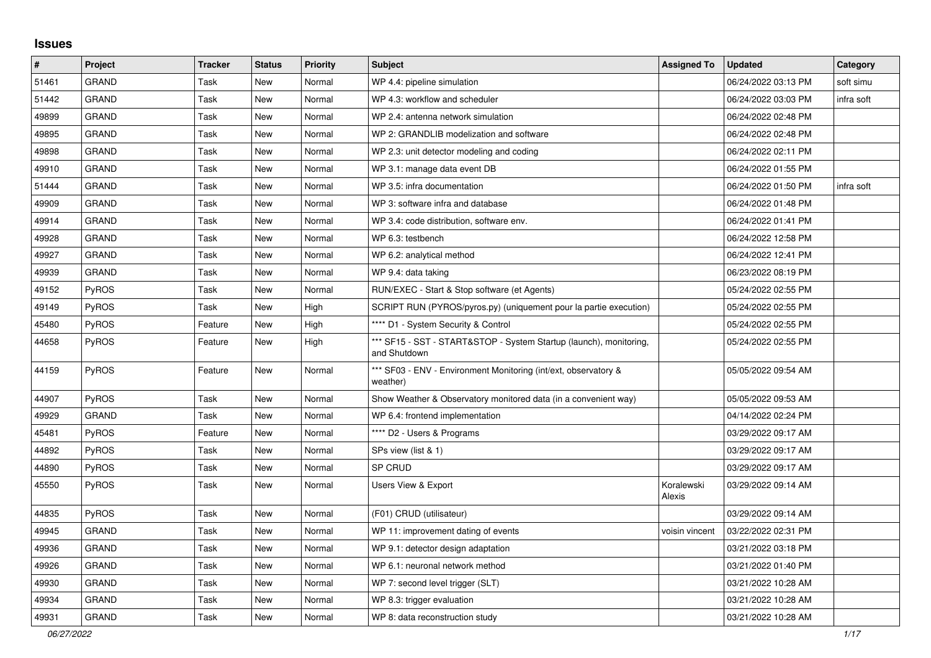## **Issues**

| $\sharp$ | Project      | <b>Tracker</b> | <b>Status</b> | <b>Priority</b> | <b>Subject</b>                                                                     | <b>Assigned To</b>   | <b>Updated</b>      | Category   |
|----------|--------------|----------------|---------------|-----------------|------------------------------------------------------------------------------------|----------------------|---------------------|------------|
| 51461    | <b>GRAND</b> | Task           | <b>New</b>    | Normal          | WP 4.4: pipeline simulation                                                        |                      | 06/24/2022 03:13 PM | soft simu  |
| 51442    | <b>GRAND</b> | Task           | New           | Normal          | WP 4.3: workflow and scheduler                                                     |                      | 06/24/2022 03:03 PM | infra soft |
| 49899    | <b>GRAND</b> | Task           | New           | Normal          | WP 2.4: antenna network simulation                                                 |                      | 06/24/2022 02:48 PM |            |
| 49895    | <b>GRAND</b> | Task           | New           | Normal          | WP 2: GRANDLIB modelization and software                                           |                      | 06/24/2022 02:48 PM |            |
| 49898    | <b>GRAND</b> | Task           | New           | Normal          | WP 2.3: unit detector modeling and coding                                          |                      | 06/24/2022 02:11 PM |            |
| 49910    | <b>GRAND</b> | Task           | New           | Normal          | WP 3.1: manage data event DB                                                       |                      | 06/24/2022 01:55 PM |            |
| 51444    | <b>GRAND</b> | Task           | New           | Normal          | WP 3.5: infra documentation                                                        |                      | 06/24/2022 01:50 PM | infra soft |
| 49909    | <b>GRAND</b> | Task           | <b>New</b>    | Normal          | WP 3: software infra and database                                                  |                      | 06/24/2022 01:48 PM |            |
| 49914    | <b>GRAND</b> | Task           | <b>New</b>    | Normal          | WP 3.4: code distribution, software env.                                           |                      | 06/24/2022 01:41 PM |            |
| 49928    | <b>GRAND</b> | Task           | New           | Normal          | WP 6.3: testbench                                                                  |                      | 06/24/2022 12:58 PM |            |
| 49927    | <b>GRAND</b> | Task           | New           | Normal          | WP 6.2: analytical method                                                          |                      | 06/24/2022 12:41 PM |            |
| 49939    | <b>GRAND</b> | Task           | New           | Normal          | WP 9.4: data taking                                                                |                      | 06/23/2022 08:19 PM |            |
| 49152    | <b>PyROS</b> | Task           | New           | Normal          | RUN/EXEC - Start & Stop software (et Agents)                                       |                      | 05/24/2022 02:55 PM |            |
| 49149    | <b>PyROS</b> | Task           | <b>New</b>    | High            | SCRIPT RUN (PYROS/pyros.py) (uniquement pour la partie execution)                  |                      | 05/24/2022 02:55 PM |            |
| 45480    | <b>PyROS</b> | Feature        | <b>New</b>    | High            | **** D1 - System Security & Control                                                |                      | 05/24/2022 02:55 PM |            |
| 44658    | PyROS        | Feature        | <b>New</b>    | High            | *** SF15 - SST - START&STOP - System Startup (launch), monitoring,<br>and Shutdown |                      | 05/24/2022 02:55 PM |            |
| 44159    | <b>PyROS</b> | Feature        | New           | Normal          | *** SF03 - ENV - Environment Monitoring (int/ext, observatory &<br>weather)        |                      | 05/05/2022 09:54 AM |            |
| 44907    | <b>PyROS</b> | Task           | <b>New</b>    | Normal          | Show Weather & Observatory monitored data (in a convenient way)                    |                      | 05/05/2022 09:53 AM |            |
| 49929    | <b>GRAND</b> | Task           | New           | Normal          | WP 6.4: frontend implementation                                                    |                      | 04/14/2022 02:24 PM |            |
| 45481    | <b>PyROS</b> | Feature        | <b>New</b>    | Normal          | **** D2 - Users & Programs                                                         |                      | 03/29/2022 09:17 AM |            |
| 44892    | <b>PyROS</b> | Task           | New           | Normal          | SPs view (list & 1)                                                                |                      | 03/29/2022 09:17 AM |            |
| 44890    | <b>PyROS</b> | Task           | New           | Normal          | SP CRUD                                                                            |                      | 03/29/2022 09:17 AM |            |
| 45550    | PyROS        | Task           | New           | Normal          | Users View & Export                                                                | Koralewski<br>Alexis | 03/29/2022 09:14 AM |            |
| 44835    | <b>PyROS</b> | Task           | New           | Normal          | (F01) CRUD (utilisateur)                                                           |                      | 03/29/2022 09:14 AM |            |
| 49945    | <b>GRAND</b> | Task           | New           | Normal          | WP 11: improvement dating of events                                                | voisin vincent       | 03/22/2022 02:31 PM |            |
| 49936    | <b>GRAND</b> | Task           | New           | Normal          | WP 9.1: detector design adaptation                                                 |                      | 03/21/2022 03:18 PM |            |
| 49926    | <b>GRAND</b> | Task           | New           | Normal          | WP 6.1: neuronal network method                                                    |                      | 03/21/2022 01:40 PM |            |
| 49930    | <b>GRAND</b> | Task           | <b>New</b>    | Normal          | WP 7: second level trigger (SLT)                                                   |                      | 03/21/2022 10:28 AM |            |
| 49934    | <b>GRAND</b> | Task           | New           | Normal          | WP 8.3: trigger evaluation                                                         |                      | 03/21/2022 10:28 AM |            |
| 49931    | <b>GRAND</b> | Task           | <b>New</b>    | Normal          | WP 8: data reconstruction study                                                    |                      | 03/21/2022 10:28 AM |            |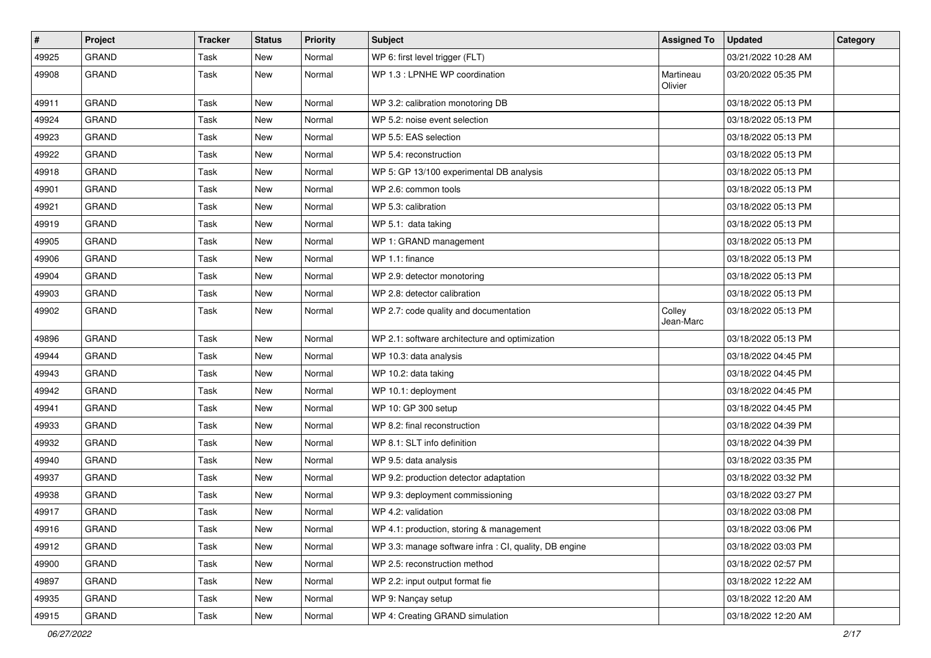| $\vert$ # | Project      | <b>Tracker</b> | <b>Status</b> | <b>Priority</b> | Subject                                                | <b>Assigned To</b>   | <b>Updated</b>      | Category |
|-----------|--------------|----------------|---------------|-----------------|--------------------------------------------------------|----------------------|---------------------|----------|
| 49925     | <b>GRAND</b> | Task           | <b>New</b>    | Normal          | WP 6: first level trigger (FLT)                        |                      | 03/21/2022 10:28 AM |          |
| 49908     | <b>GRAND</b> | Task           | <b>New</b>    | Normal          | WP 1.3 : LPNHE WP coordination                         | Martineau<br>Olivier | 03/20/2022 05:35 PM |          |
| 49911     | <b>GRAND</b> | Task           | <b>New</b>    | Normal          | WP 3.2: calibration monotoring DB                      |                      | 03/18/2022 05:13 PM |          |
| 49924     | <b>GRAND</b> | Task           | <b>New</b>    | Normal          | WP 5.2: noise event selection                          |                      | 03/18/2022 05:13 PM |          |
| 49923     | <b>GRAND</b> | Task           | <b>New</b>    | Normal          | WP 5.5: EAS selection                                  |                      | 03/18/2022 05:13 PM |          |
| 49922     | <b>GRAND</b> | Task           | <b>New</b>    | Normal          | WP 5.4: reconstruction                                 |                      | 03/18/2022 05:13 PM |          |
| 49918     | GRAND        | Task           | <b>New</b>    | Normal          | WP 5: GP 13/100 experimental DB analysis               |                      | 03/18/2022 05:13 PM |          |
| 49901     | <b>GRAND</b> | Task           | <b>New</b>    | Normal          | WP 2.6: common tools                                   |                      | 03/18/2022 05:13 PM |          |
| 49921     | <b>GRAND</b> | Task           | New           | Normal          | WP 5.3: calibration                                    |                      | 03/18/2022 05:13 PM |          |
| 49919     | <b>GRAND</b> | Task           | <b>New</b>    | Normal          | WP 5.1: data taking                                    |                      | 03/18/2022 05:13 PM |          |
| 49905     | <b>GRAND</b> | Task           | <b>New</b>    | Normal          | WP 1: GRAND management                                 |                      | 03/18/2022 05:13 PM |          |
| 49906     | GRAND        | Task           | <b>New</b>    | Normal          | WP 1.1: finance                                        |                      | 03/18/2022 05:13 PM |          |
| 49904     | <b>GRAND</b> | Task           | <b>New</b>    | Normal          | WP 2.9: detector monotoring                            |                      | 03/18/2022 05:13 PM |          |
| 49903     | <b>GRAND</b> | Task           | <b>New</b>    | Normal          | WP 2.8: detector calibration                           |                      | 03/18/2022 05:13 PM |          |
| 49902     | <b>GRAND</b> | Task           | New           | Normal          | WP 2.7: code quality and documentation                 | Colley<br>Jean-Marc  | 03/18/2022 05:13 PM |          |
| 49896     | <b>GRAND</b> | Task           | New           | Normal          | WP 2.1: software architecture and optimization         |                      | 03/18/2022 05:13 PM |          |
| 49944     | <b>GRAND</b> | Task           | New           | Normal          | WP 10.3: data analysis                                 |                      | 03/18/2022 04:45 PM |          |
| 49943     | <b>GRAND</b> | Task           | <b>New</b>    | Normal          | WP 10.2: data taking                                   |                      | 03/18/2022 04:45 PM |          |
| 49942     | GRAND        | Task           | New           | Normal          | WP 10.1: deployment                                    |                      | 03/18/2022 04:45 PM |          |
| 49941     | <b>GRAND</b> | Task           | <b>New</b>    | Normal          | WP 10: GP 300 setup                                    |                      | 03/18/2022 04:45 PM |          |
| 49933     | <b>GRAND</b> | Task           | New           | Normal          | WP 8.2: final reconstruction                           |                      | 03/18/2022 04:39 PM |          |
| 49932     | <b>GRAND</b> | Task           | <b>New</b>    | Normal          | WP 8.1: SLT info definition                            |                      | 03/18/2022 04:39 PM |          |
| 49940     | <b>GRAND</b> | Task           | <b>New</b>    | Normal          | WP 9.5: data analysis                                  |                      | 03/18/2022 03:35 PM |          |
| 49937     | GRAND        | Task           | <b>New</b>    | Normal          | WP 9.2: production detector adaptation                 |                      | 03/18/2022 03:32 PM |          |
| 49938     | <b>GRAND</b> | Task           | <b>New</b>    | Normal          | WP 9.3: deployment commissioning                       |                      | 03/18/2022 03:27 PM |          |
| 49917     | <b>GRAND</b> | Task           | <b>New</b>    | Normal          | WP 4.2: validation                                     |                      | 03/18/2022 03:08 PM |          |
| 49916     | <b>GRAND</b> | Task           | New           | Normal          | WP 4.1: production, storing & management               |                      | 03/18/2022 03:06 PM |          |
| 49912     | GRAND        | Task           | New           | Normal          | WP 3.3: manage software infra : CI, quality, DB engine |                      | 03/18/2022 03:03 PM |          |
| 49900     | GRAND        | Task           | New           | Normal          | WP 2.5: reconstruction method                          |                      | 03/18/2022 02:57 PM |          |
| 49897     | GRAND        | Task           | New           | Normal          | WP 2.2: input output format fie                        |                      | 03/18/2022 12:22 AM |          |
| 49935     | GRAND        | Task           | New           | Normal          | WP 9: Nancay setup                                     |                      | 03/18/2022 12:20 AM |          |
| 49915     | GRAND        | Task           | New           | Normal          | WP 4: Creating GRAND simulation                        |                      | 03/18/2022 12:20 AM |          |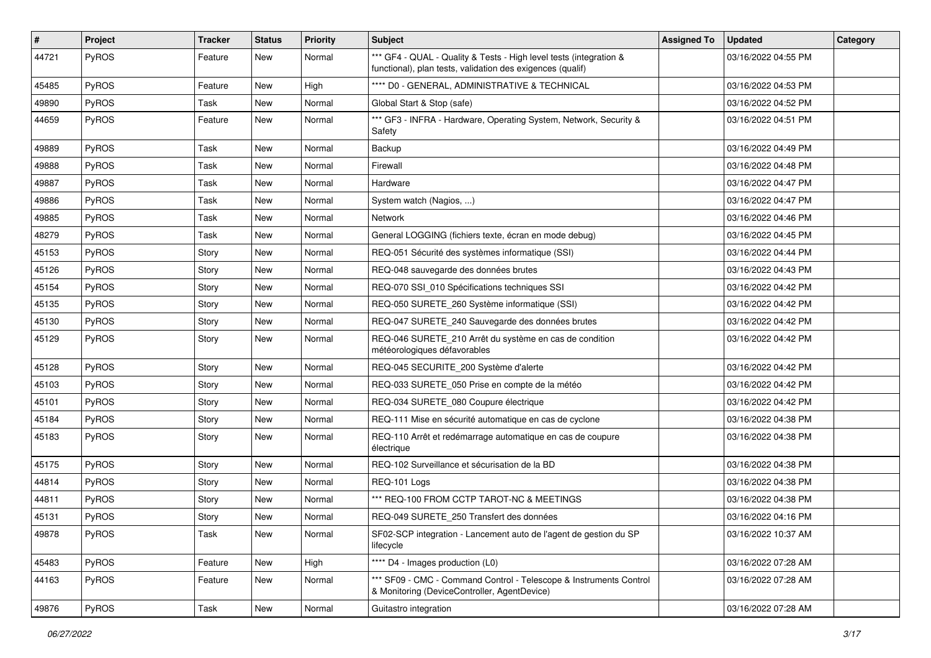| #     | Project      | <b>Tracker</b> | <b>Status</b> | <b>Priority</b> | <b>Subject</b>                                                                                                                   | <b>Assigned To</b> | <b>Updated</b>      | Category |
|-------|--------------|----------------|---------------|-----------------|----------------------------------------------------------------------------------------------------------------------------------|--------------------|---------------------|----------|
| 44721 | PyROS        | Feature        | New           | Normal          | *** GF4 - QUAL - Quality & Tests - High level tests (integration &<br>functional), plan tests, validation des exigences (qualif) |                    | 03/16/2022 04:55 PM |          |
| 45485 | PyROS        | Feature        | New           | High            | **** D0 - GENERAL, ADMINISTRATIVE & TECHNICAL                                                                                    |                    | 03/16/2022 04:53 PM |          |
| 49890 | PyROS        | Task           | New           | Normal          | Global Start & Stop (safe)                                                                                                       |                    | 03/16/2022 04:52 PM |          |
| 44659 | PyROS        | Feature        | <b>New</b>    | Normal          | *** GF3 - INFRA - Hardware, Operating System, Network, Security &<br>Safety                                                      |                    | 03/16/2022 04:51 PM |          |
| 49889 | PyROS        | Task           | New           | Normal          | Backup                                                                                                                           |                    | 03/16/2022 04:49 PM |          |
| 49888 | PyROS        | Task           | New           | Normal          | Firewall                                                                                                                         |                    | 03/16/2022 04:48 PM |          |
| 49887 | PyROS        | Task           | <b>New</b>    | Normal          | Hardware                                                                                                                         |                    | 03/16/2022 04:47 PM |          |
| 49886 | PyROS        | Task           | <b>New</b>    | Normal          | System watch (Nagios, )                                                                                                          |                    | 03/16/2022 04:47 PM |          |
| 49885 | <b>PyROS</b> | Task           | New           | Normal          | Network                                                                                                                          |                    | 03/16/2022 04:46 PM |          |
| 48279 | PyROS        | Task           | New           | Normal          | General LOGGING (fichiers texte, écran en mode debug)                                                                            |                    | 03/16/2022 04:45 PM |          |
| 45153 | PyROS        | Story          | New           | Normal          | REQ-051 Sécurité des systèmes informatique (SSI)                                                                                 |                    | 03/16/2022 04:44 PM |          |
| 45126 | <b>PyROS</b> | Story          | <b>New</b>    | Normal          | REQ-048 sauvegarde des données brutes                                                                                            |                    | 03/16/2022 04:43 PM |          |
| 45154 | PyROS        | Story          | <b>New</b>    | Normal          | REQ-070 SSI_010 Spécifications techniques SSI                                                                                    |                    | 03/16/2022 04:42 PM |          |
| 45135 | PyROS        | Story          | New           | Normal          | REQ-050 SURETE_260 Système informatique (SSI)                                                                                    |                    | 03/16/2022 04:42 PM |          |
| 45130 | PyROS        | Story          | New           | Normal          | REQ-047 SURETE 240 Sauvegarde des données brutes                                                                                 |                    | 03/16/2022 04:42 PM |          |
| 45129 | <b>PyROS</b> | Story          | <b>New</b>    | Normal          | REQ-046 SURETE_210 Arrêt du système en cas de condition<br>météorologiques défavorables                                          |                    | 03/16/2022 04:42 PM |          |
| 45128 | PyROS        | Story          | <b>New</b>    | Normal          | REQ-045 SECURITE_200 Système d'alerte                                                                                            |                    | 03/16/2022 04:42 PM |          |
| 45103 | PyROS        | Story          | New           | Normal          | REQ-033 SURETE_050 Prise en compte de la météo                                                                                   |                    | 03/16/2022 04:42 PM |          |
| 45101 | PyROS        | Story          | New           | Normal          | REQ-034 SURETE_080 Coupure électrique                                                                                            |                    | 03/16/2022 04:42 PM |          |
| 45184 | PyROS        | Story          | New           | Normal          | REQ-111 Mise en sécurité automatique en cas de cyclone                                                                           |                    | 03/16/2022 04:38 PM |          |
| 45183 | <b>PyROS</b> | Story          | New           | Normal          | REQ-110 Arrêt et redémarrage automatique en cas de coupure<br>électrique                                                         |                    | 03/16/2022 04:38 PM |          |
| 45175 | PyROS        | Story          | <b>New</b>    | Normal          | REQ-102 Surveillance et sécurisation de la BD                                                                                    |                    | 03/16/2022 04:38 PM |          |
| 44814 | <b>PyROS</b> | Story          | New           | Normal          | REQ-101 Logs                                                                                                                     |                    | 03/16/2022 04:38 PM |          |
| 44811 | PyROS        | Story          | New           | Normal          | *** REQ-100 FROM CCTP TAROT-NC & MEETINGS                                                                                        |                    | 03/16/2022 04:38 PM |          |
| 45131 | PyROS        | Story          | New           | Normal          | REQ-049 SURETE 250 Transfert des données                                                                                         |                    | 03/16/2022 04:16 PM |          |
| 49878 | PyROS        | Task           | New           | Normal          | SF02-SCP integration - Lancement auto de l'agent de gestion du SP<br>lifecycle                                                   |                    | 03/16/2022 10:37 AM |          |
| 45483 | PyROS        | Feature        | <b>New</b>    | High            | **** D4 - Images production (L0)                                                                                                 |                    | 03/16/2022 07:28 AM |          |
| 44163 | PyROS        | Feature        | New           | Normal          | *** SF09 - CMC - Command Control - Telescope & Instruments Control<br>& Monitoring (DeviceController, AgentDevice)               |                    | 03/16/2022 07:28 AM |          |
| 49876 | PyROS        | Task           | New           | Normal          | Guitastro integration                                                                                                            |                    | 03/16/2022 07:28 AM |          |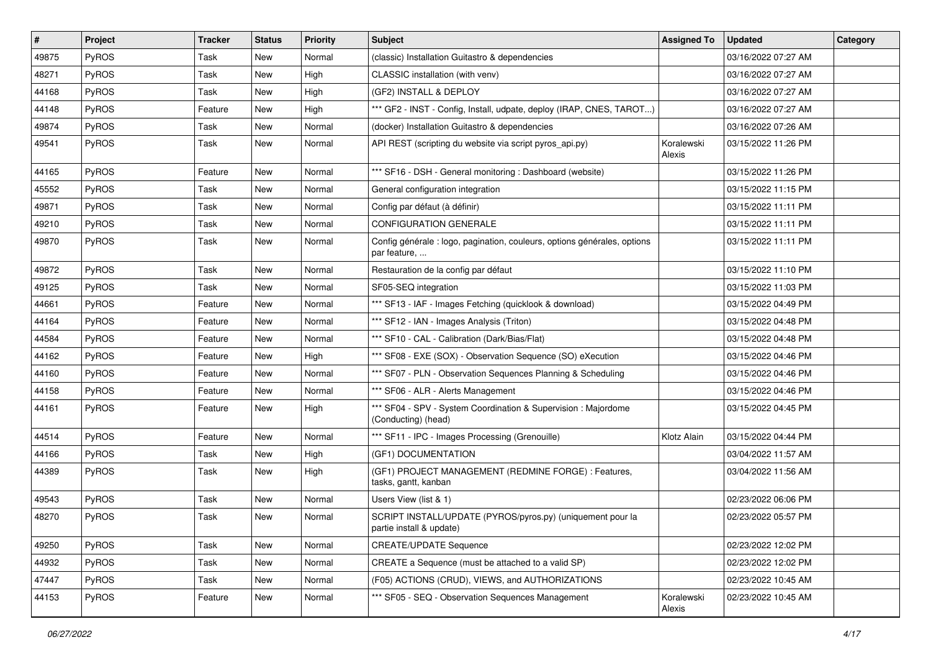| $\vert$ # | Project      | <b>Tracker</b> | <b>Status</b> | <b>Priority</b> | <b>Subject</b>                                                                           | <b>Assigned To</b>   | <b>Updated</b>      | Category |
|-----------|--------------|----------------|---------------|-----------------|------------------------------------------------------------------------------------------|----------------------|---------------------|----------|
| 49875     | <b>PyROS</b> | Task           | New           | Normal          | (classic) Installation Guitastro & dependencies                                          |                      | 03/16/2022 07:27 AM |          |
| 48271     | PyROS        | Task           | <b>New</b>    | High            | CLASSIC installation (with venv)                                                         |                      | 03/16/2022 07:27 AM |          |
| 44168     | PyROS        | Task           | New           | High            | (GF2) INSTALL & DEPLOY                                                                   |                      | 03/16/2022 07:27 AM |          |
| 44148     | PyROS        | Feature        | New           | High            | *** GF2 - INST - Config, Install, udpate, deploy (IRAP, CNES, TAROT)                     |                      | 03/16/2022 07:27 AM |          |
| 49874     | PyROS        | Task           | <b>New</b>    | Normal          | (docker) Installation Guitastro & dependencies                                           |                      | 03/16/2022 07:26 AM |          |
| 49541     | PyROS        | Task           | <b>New</b>    | Normal          | API REST (scripting du website via script pyros_api.py)                                  | Koralewski<br>Alexis | 03/15/2022 11:26 PM |          |
| 44165     | PyROS        | Feature        | New           | Normal          | *** SF16 - DSH - General monitoring: Dashboard (website)                                 |                      | 03/15/2022 11:26 PM |          |
| 45552     | PyROS        | Task           | New           | Normal          | General configuration integration                                                        |                      | 03/15/2022 11:15 PM |          |
| 49871     | PyROS        | Task           | <b>New</b>    | Normal          | Config par défaut (à définir)                                                            |                      | 03/15/2022 11:11 PM |          |
| 49210     | <b>PyROS</b> | Task           | New           | Normal          | <b>CONFIGURATION GENERALE</b>                                                            |                      | 03/15/2022 11:11 PM |          |
| 49870     | PyROS        | Task           | New           | Normal          | Config générale : logo, pagination, couleurs, options générales, options<br>par feature, |                      | 03/15/2022 11:11 PM |          |
| 49872     | PyROS        | Task           | <b>New</b>    | Normal          | Restauration de la config par défaut                                                     |                      | 03/15/2022 11:10 PM |          |
| 49125     | PyROS        | Task           | New           | Normal          | SF05-SEQ integration                                                                     |                      | 03/15/2022 11:03 PM |          |
| 44661     | PyROS        | Feature        | New           | Normal          | *** SF13 - IAF - Images Fetching (quicklook & download)                                  |                      | 03/15/2022 04:49 PM |          |
| 44164     | PyROS        | Feature        | New           | Normal          | *** SF12 - IAN - Images Analysis (Triton)                                                |                      | 03/15/2022 04:48 PM |          |
| 44584     | PyROS        | Feature        | <b>New</b>    | Normal          | *** SF10 - CAL - Calibration (Dark/Bias/Flat)                                            |                      | 03/15/2022 04:48 PM |          |
| 44162     | PyROS        | Feature        | New           | High            | *** SF08 - EXE (SOX) - Observation Sequence (SO) eXecution                               |                      | 03/15/2022 04:46 PM |          |
| 44160     | PyROS        | Feature        | New           | Normal          | *** SF07 - PLN - Observation Sequences Planning & Scheduling                             |                      | 03/15/2022 04:46 PM |          |
| 44158     | PyROS        | Feature        | New           | Normal          | *** SF06 - ALR - Alerts Management                                                       |                      | 03/15/2022 04:46 PM |          |
| 44161     | PyROS        | Feature        | New           | High            | *** SF04 - SPV - System Coordination & Supervision : Majordome<br>(Conducting) (head)    |                      | 03/15/2022 04:45 PM |          |
| 44514     | PyROS        | Feature        | New           | Normal          | *** SF11 - IPC - Images Processing (Grenouille)                                          | Klotz Alain          | 03/15/2022 04:44 PM |          |
| 44166     | PyROS        | Task           | New           | High            | (GF1) DOCUMENTATION                                                                      |                      | 03/04/2022 11:57 AM |          |
| 44389     | <b>PyROS</b> | Task           | New           | High            | (GF1) PROJECT MANAGEMENT (REDMINE FORGE) : Features,<br>tasks, gantt, kanban             |                      | 03/04/2022 11:56 AM |          |
| 49543     | PyROS        | Task           | <b>New</b>    | Normal          | Users View (list & 1)                                                                    |                      | 02/23/2022 06:06 PM |          |
| 48270     | PyROS        | Task           | New           | Normal          | SCRIPT INSTALL/UPDATE (PYROS/pyros.py) (uniquement pour la<br>partie install & update)   |                      | 02/23/2022 05:57 PM |          |
| 49250     | PyROS        | Task           | New           | Normal          | <b>CREATE/UPDATE Sequence</b>                                                            |                      | 02/23/2022 12:02 PM |          |
| 44932     | PyROS        | Task           | New           | Normal          | CREATE a Sequence (must be attached to a valid SP)                                       |                      | 02/23/2022 12:02 PM |          |
| 47447     | PyROS        | Task           | New           | Normal          | (F05) ACTIONS (CRUD), VIEWS, and AUTHORIZATIONS                                          |                      | 02/23/2022 10:45 AM |          |
| 44153     | PyROS        | Feature        | New           | Normal          | *** SF05 - SEQ - Observation Sequences Management                                        | Koralewski<br>Alexis | 02/23/2022 10:45 AM |          |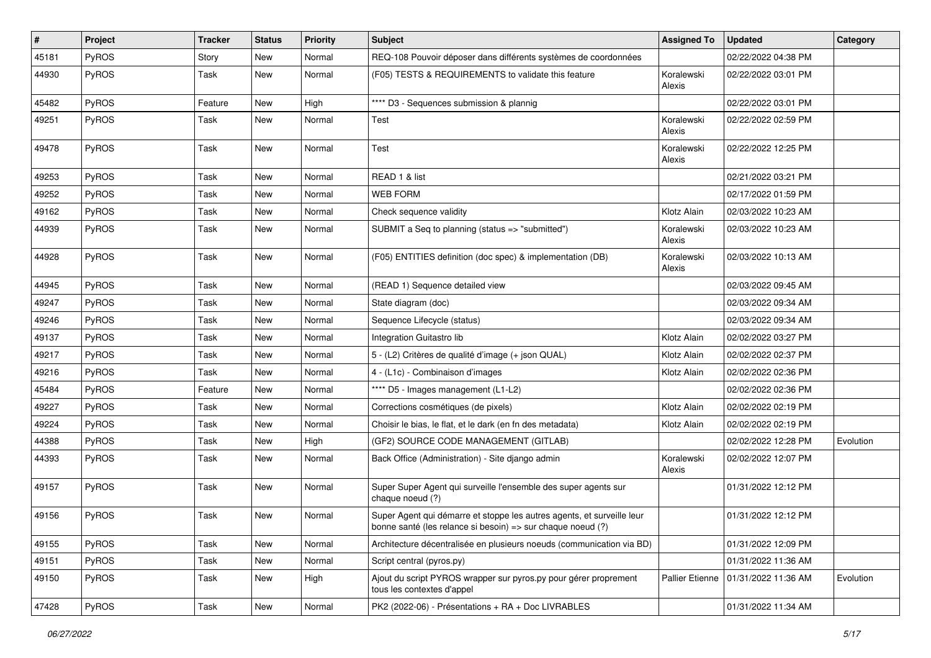| #     | Project      | <b>Tracker</b> | <b>Status</b> | <b>Priority</b> | <b>Subject</b>                                                                                                                        | <b>Assigned To</b>   | <b>Updated</b>      | Category  |
|-------|--------------|----------------|---------------|-----------------|---------------------------------------------------------------------------------------------------------------------------------------|----------------------|---------------------|-----------|
| 45181 | <b>PyROS</b> | Story          | New           | Normal          | REQ-108 Pouvoir déposer dans différents systèmes de coordonnées                                                                       |                      | 02/22/2022 04:38 PM |           |
| 44930 | <b>PyROS</b> | Task           | <b>New</b>    | Normal          | (F05) TESTS & REQUIREMENTS to validate this feature                                                                                   | Koralewski<br>Alexis | 02/22/2022 03:01 PM |           |
| 45482 | <b>PyROS</b> | Feature        | New           | High            | **** D3 - Sequences submission & plannig                                                                                              |                      | 02/22/2022 03:01 PM |           |
| 49251 | <b>PyROS</b> | Task           | <b>New</b>    | Normal          | Test                                                                                                                                  | Koralewski<br>Alexis | 02/22/2022 02:59 PM |           |
| 49478 | PyROS        | Task           | New           | Normal          | Test                                                                                                                                  | Koralewski<br>Alexis | 02/22/2022 12:25 PM |           |
| 49253 | PyROS        | Task           | <b>New</b>    | Normal          | READ 1 & list                                                                                                                         |                      | 02/21/2022 03:21 PM |           |
| 49252 | PyROS        | Task           | New           | Normal          | <b>WEB FORM</b>                                                                                                                       |                      | 02/17/2022 01:59 PM |           |
| 49162 | <b>PyROS</b> | Task           | New           | Normal          | Check sequence validity                                                                                                               | Klotz Alain          | 02/03/2022 10:23 AM |           |
| 44939 | <b>PyROS</b> | Task           | New           | Normal          | SUBMIT a Seq to planning (status => "submitted")                                                                                      | Koralewski<br>Alexis | 02/03/2022 10:23 AM |           |
| 44928 | <b>PyROS</b> | Task           | <b>New</b>    | Normal          | (F05) ENTITIES definition (doc spec) & implementation (DB)                                                                            | Koralewski<br>Alexis | 02/03/2022 10:13 AM |           |
| 44945 | <b>PyROS</b> | Task           | <b>New</b>    | Normal          | (READ 1) Sequence detailed view                                                                                                       |                      | 02/03/2022 09:45 AM |           |
| 49247 | PyROS        | Task           | New           | Normal          | State diagram (doc)                                                                                                                   |                      | 02/03/2022 09:34 AM |           |
| 49246 | PyROS        | Task           | <b>New</b>    | Normal          | Sequence Lifecycle (status)                                                                                                           |                      | 02/03/2022 09:34 AM |           |
| 49137 | <b>PyROS</b> | Task           | New           | Normal          | Integration Guitastro lib                                                                                                             | Klotz Alain          | 02/02/2022 03:27 PM |           |
| 49217 | <b>PyROS</b> | Task           | New           | Normal          | 5 - (L2) Critères de qualité d'image (+ json QUAL)                                                                                    | Klotz Alain          | 02/02/2022 02:37 PM |           |
| 49216 | PyROS        | Task           | <b>New</b>    | Normal          | 4 - (L1c) - Combinaison d'images                                                                                                      | Klotz Alain          | 02/02/2022 02:36 PM |           |
| 45484 | PyROS        | Feature        | New           | Normal          | **** D5 - Images management (L1-L2)                                                                                                   |                      | 02/02/2022 02:36 PM |           |
| 49227 | <b>PyROS</b> | Task           | New           | Normal          | Corrections cosmétiques (de pixels)                                                                                                   | Klotz Alain          | 02/02/2022 02:19 PM |           |
| 49224 | <b>PyROS</b> | Task           | New           | Normal          | Choisir le bias, le flat, et le dark (en fn des metadata)                                                                             | Klotz Alain          | 02/02/2022 02:19 PM |           |
| 44388 | <b>PyROS</b> | Task           | New           | High            | (GF2) SOURCE CODE MANAGEMENT (GITLAB)                                                                                                 |                      | 02/02/2022 12:28 PM | Evolution |
| 44393 | PyROS        | Task           | New           | Normal          | Back Office (Administration) - Site django admin                                                                                      | Koralewski<br>Alexis | 02/02/2022 12:07 PM |           |
| 49157 | <b>PyROS</b> | Task           | New           | Normal          | Super Super Agent qui surveille l'ensemble des super agents sur<br>chaque noeud (?)                                                   |                      | 01/31/2022 12:12 PM |           |
| 49156 | PyROS        | Task           | <b>New</b>    | Normal          | Super Agent qui démarre et stoppe les autres agents, et surveille leur<br>bonne santé (les relance si besoin) => sur chaque noeud (?) |                      | 01/31/2022 12:12 PM |           |
| 49155 | <b>PyROS</b> | Task           | New           | Normal          | Architecture décentralisée en plusieurs noeuds (communication via BD)                                                                 |                      | 01/31/2022 12:09 PM |           |
| 49151 | <b>PyROS</b> | Task           | New           | Normal          | Script central (pyros.py)                                                                                                             |                      | 01/31/2022 11:36 AM |           |
| 49150 | PyROS        | Task           | New           | High            | Ajout du script PYROS wrapper sur pyros.py pour gérer proprement<br>tous les contextes d'appel                                        | Pallier Etienne      | 01/31/2022 11:36 AM | Evolution |
| 47428 | PyROS        | Task           | New           | Normal          | PK2 (2022-06) - Présentations + RA + Doc LIVRABLES                                                                                    |                      | 01/31/2022 11:34 AM |           |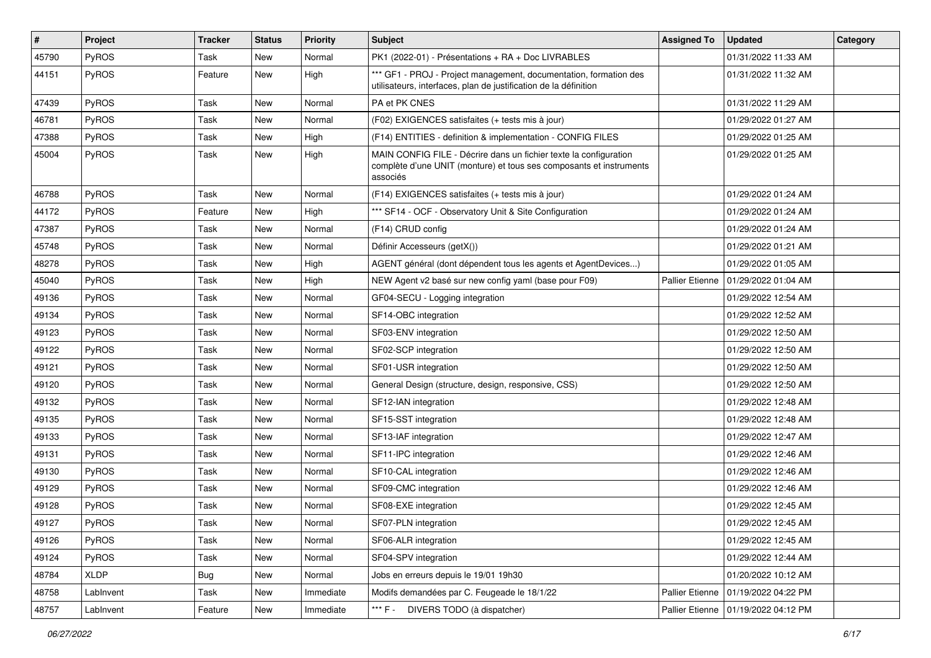| $\vert$ # | Project      | <b>Tracker</b> | <b>Status</b> | <b>Priority</b> | Subject                                                                                                                                              | <b>Assigned To</b>     | <b>Updated</b>      | Category |
|-----------|--------------|----------------|---------------|-----------------|------------------------------------------------------------------------------------------------------------------------------------------------------|------------------------|---------------------|----------|
| 45790     | <b>PyROS</b> | Task           | New           | Normal          | PK1 (2022-01) - Présentations + RA + Doc LIVRABLES                                                                                                   |                        | 01/31/2022 11:33 AM |          |
| 44151     | PyROS        | Feature        | New           | High            | *** GF1 - PROJ - Project management, documentation, formation des<br>utilisateurs, interfaces, plan de justification de la définition                |                        | 01/31/2022 11:32 AM |          |
| 47439     | PyROS        | Task           | <b>New</b>    | Normal          | PA et PK CNES                                                                                                                                        |                        | 01/31/2022 11:29 AM |          |
| 46781     | PyROS        | Task           | New           | Normal          | (F02) EXIGENCES satisfaites (+ tests mis à jour)                                                                                                     |                        | 01/29/2022 01:27 AM |          |
| 47388     | PyROS        | Task           | New           | High            | (F14) ENTITIES - definition & implementation - CONFIG FILES                                                                                          |                        | 01/29/2022 01:25 AM |          |
| 45004     | PyROS        | Task           | New           | High            | MAIN CONFIG FILE - Décrire dans un fichier texte la configuration<br>complète d'une UNIT (monture) et tous ses composants et instruments<br>associés |                        | 01/29/2022 01:25 AM |          |
| 46788     | PyROS        | Task           | New           | Normal          | (F14) EXIGENCES satisfaites (+ tests mis à jour)                                                                                                     |                        | 01/29/2022 01:24 AM |          |
| 44172     | PyROS        | Feature        | New           | High            | *** SF14 - OCF - Observatory Unit & Site Configuration                                                                                               |                        | 01/29/2022 01:24 AM |          |
| 47387     | PyROS        | Task           | <b>New</b>    | Normal          | (F14) CRUD config                                                                                                                                    |                        | 01/29/2022 01:24 AM |          |
| 45748     | PyROS        | Task           | New           | Normal          | Définir Accesseurs (getX())                                                                                                                          |                        | 01/29/2022 01:21 AM |          |
| 48278     | PyROS        | Task           | New           | High            | AGENT général (dont dépendent tous les agents et AgentDevices)                                                                                       |                        | 01/29/2022 01:05 AM |          |
| 45040     | PyROS        | Task           | New           | High            | NEW Agent v2 basé sur new config yaml (base pour F09)                                                                                                | <b>Pallier Etienne</b> | 01/29/2022 01:04 AM |          |
| 49136     | PyROS        | Task           | New           | Normal          | GF04-SECU - Logging integration                                                                                                                      |                        | 01/29/2022 12:54 AM |          |
| 49134     | PyROS        | Task           | New           | Normal          | SF14-OBC integration                                                                                                                                 |                        | 01/29/2022 12:52 AM |          |
| 49123     | PyROS        | Task           | New           | Normal          | SF03-ENV integration                                                                                                                                 |                        | 01/29/2022 12:50 AM |          |
| 49122     | <b>PyROS</b> | Task           | New           | Normal          | SF02-SCP integration                                                                                                                                 |                        | 01/29/2022 12:50 AM |          |
| 49121     | PyROS        | Task           | New           | Normal          | SF01-USR integration                                                                                                                                 |                        | 01/29/2022 12:50 AM |          |
| 49120     | PyROS        | Task           | <b>New</b>    | Normal          | General Design (structure, design, responsive, CSS)                                                                                                  |                        | 01/29/2022 12:50 AM |          |
| 49132     | <b>PyROS</b> | Task           | New           | Normal          | SF12-IAN integration                                                                                                                                 |                        | 01/29/2022 12:48 AM |          |
| 49135     | PyROS        | Task           | New           | Normal          | SF15-SST integration                                                                                                                                 |                        | 01/29/2022 12:48 AM |          |
| 49133     | PyROS        | Task           | New           | Normal          | SF13-IAF integration                                                                                                                                 |                        | 01/29/2022 12:47 AM |          |
| 49131     | PyROS        | Task           | New           | Normal          | SF11-IPC integration                                                                                                                                 |                        | 01/29/2022 12:46 AM |          |
| 49130     | PyROS        | Task           | New           | Normal          | SF10-CAL integration                                                                                                                                 |                        | 01/29/2022 12:46 AM |          |
| 49129     | <b>PyROS</b> | Task           | New           | Normal          | SF09-CMC integration                                                                                                                                 |                        | 01/29/2022 12:46 AM |          |
| 49128     | PyROS        | Task           | New           | Normal          | SF08-EXE integration                                                                                                                                 |                        | 01/29/2022 12:45 AM |          |
| 49127     | PyROS        | Task           | New           | Normal          | SF07-PLN integration                                                                                                                                 |                        | 01/29/2022 12:45 AM |          |
| 49126     | PyROS        | Task           | New           | Normal          | SF06-ALR integration                                                                                                                                 |                        | 01/29/2022 12:45 AM |          |
| 49124     | PyROS        | Task           | New           | Normal          | SF04-SPV integration                                                                                                                                 |                        | 01/29/2022 12:44 AM |          |
| 48784     | XLDP         | <b>Bug</b>     | New           | Normal          | Jobs en erreurs depuis le 19/01 19h30                                                                                                                |                        | 01/20/2022 10:12 AM |          |
| 48758     | LabInvent    | Task           | New           | Immediate       | Modifs demandées par C. Feugeade le 18/1/22                                                                                                          | Pallier Etienne        | 01/19/2022 04:22 PM |          |
| 48757     | LabInvent    | Feature        | New           | Immediate       | *** F -<br>DIVERS TODO (à dispatcher)                                                                                                                | Pallier Etienne        | 01/19/2022 04:12 PM |          |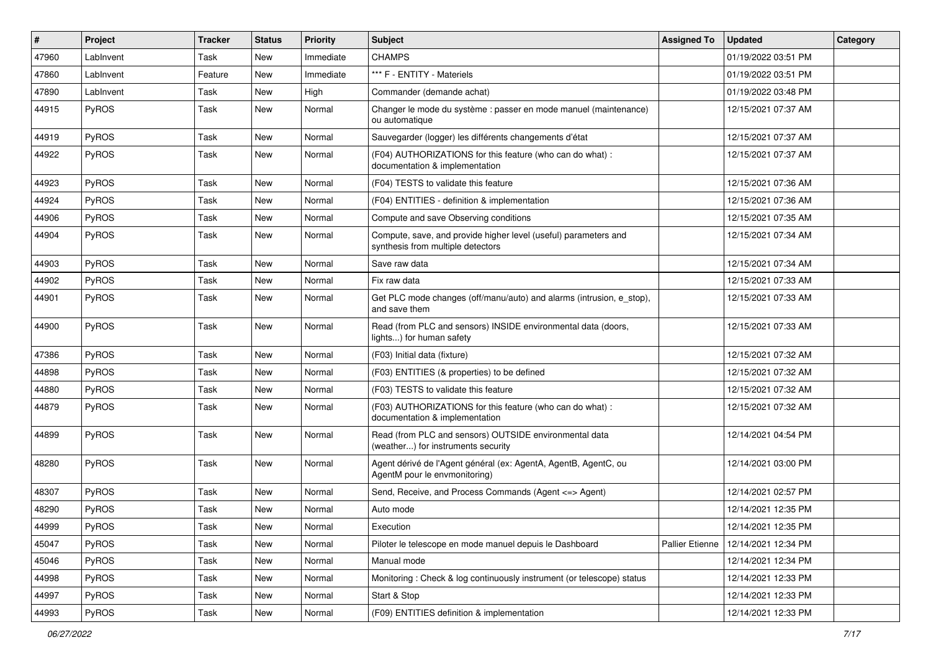| $\vert$ # | Project      | <b>Tracker</b> | <b>Status</b> | <b>Priority</b> | <b>Subject</b>                                                                                       | <b>Assigned To</b> | <b>Updated</b>      | <b>Category</b> |
|-----------|--------------|----------------|---------------|-----------------|------------------------------------------------------------------------------------------------------|--------------------|---------------------|-----------------|
| 47960     | LabInvent    | Task           | <b>New</b>    | Immediate       | <b>CHAMPS</b>                                                                                        |                    | 01/19/2022 03:51 PM |                 |
| 47860     | LabInvent    | Feature        | <b>New</b>    | Immediate       | *** F - ENTITY - Materiels                                                                           |                    | 01/19/2022 03:51 PM |                 |
| 47890     | LabInvent    | Task           | New           | High            | Commander (demande achat)                                                                            |                    | 01/19/2022 03:48 PM |                 |
| 44915     | PyROS        | Task           | New           | Normal          | Changer le mode du système : passer en mode manuel (maintenance)<br>ou automatique                   |                    | 12/15/2021 07:37 AM |                 |
| 44919     | <b>PyROS</b> | Task           | New           | Normal          | Sauvegarder (logger) les différents changements d'état                                               |                    | 12/15/2021 07:37 AM |                 |
| 44922     | PyROS        | Task           | <b>New</b>    | Normal          | (F04) AUTHORIZATIONS for this feature (who can do what) :<br>documentation & implementation          |                    | 12/15/2021 07:37 AM |                 |
| 44923     | PyROS        | Task           | <b>New</b>    | Normal          | (F04) TESTS to validate this feature                                                                 |                    | 12/15/2021 07:36 AM |                 |
| 44924     | PyROS        | Task           | <b>New</b>    | Normal          | (F04) ENTITIES - definition & implementation                                                         |                    | 12/15/2021 07:36 AM |                 |
| 44906     | PyROS        | Task           | New           | Normal          | Compute and save Observing conditions                                                                |                    | 12/15/2021 07:35 AM |                 |
| 44904     | PyROS        | Task           | New           | Normal          | Compute, save, and provide higher level (useful) parameters and<br>synthesis from multiple detectors |                    | 12/15/2021 07:34 AM |                 |
| 44903     | <b>PyROS</b> | Task           | New           | Normal          | Save raw data                                                                                        |                    | 12/15/2021 07:34 AM |                 |
| 44902     | PyROS        | Task           | <b>New</b>    | Normal          | Fix raw data                                                                                         |                    | 12/15/2021 07:33 AM |                 |
| 44901     | PyROS        | Task           | New           | Normal          | Get PLC mode changes (off/manu/auto) and alarms (intrusion, e_stop),<br>and save them                |                    | 12/15/2021 07:33 AM |                 |
| 44900     | PyROS        | Task           | New           | Normal          | Read (from PLC and sensors) INSIDE environmental data (doors,<br>lights) for human safety            |                    | 12/15/2021 07:33 AM |                 |
| 47386     | PyROS        | Task           | New           | Normal          | (F03) Initial data (fixture)                                                                         |                    | 12/15/2021 07:32 AM |                 |
| 44898     | PyROS        | Task           | New           | Normal          | (F03) ENTITIES (& properties) to be defined                                                          |                    | 12/15/2021 07:32 AM |                 |
| 44880     | PyROS        | Task           | New           | Normal          | (F03) TESTS to validate this feature                                                                 |                    | 12/15/2021 07:32 AM |                 |
| 44879     | PyROS        | Task           | New           | Normal          | (F03) AUTHORIZATIONS for this feature (who can do what) :<br>documentation & implementation          |                    | 12/15/2021 07:32 AM |                 |
| 44899     | PyROS        | Task           | <b>New</b>    | Normal          | Read (from PLC and sensors) OUTSIDE environmental data<br>(weather) for instruments security         |                    | 12/14/2021 04:54 PM |                 |
| 48280     | PyROS        | Task           | New           | Normal          | Agent dérivé de l'Agent général (ex: AgentA, AgentB, AgentC, ou<br>AgentM pour le envmonitoring)     |                    | 12/14/2021 03:00 PM |                 |
| 48307     | PyROS        | Task           | New           | Normal          | Send, Receive, and Process Commands (Agent <= > Agent)                                               |                    | 12/14/2021 02:57 PM |                 |
| 48290     | PyROS        | Task           | <b>New</b>    | Normal          | Auto mode                                                                                            |                    | 12/14/2021 12:35 PM |                 |
| 44999     | PyROS        | Task           | New           | Normal          | Execution                                                                                            |                    | 12/14/2021 12:35 PM |                 |
| 45047     | <b>PyROS</b> | Task           | New           | Normal          | Piloter le telescope en mode manuel depuis le Dashboard                                              | Pallier Etienne    | 12/14/2021 12:34 PM |                 |
| 45046     | PyROS        | Task           | New           | Normal          | Manual mode                                                                                          |                    | 12/14/2021 12:34 PM |                 |
| 44998     | PyROS        | Task           | New           | Normal          | Monitoring: Check & log continuously instrument (or telescope) status                                |                    | 12/14/2021 12:33 PM |                 |
| 44997     | PyROS        | Task           | New           | Normal          | Start & Stop                                                                                         |                    | 12/14/2021 12:33 PM |                 |
| 44993     | PyROS        | Task           | New           | Normal          | (F09) ENTITIES definition & implementation                                                           |                    | 12/14/2021 12:33 PM |                 |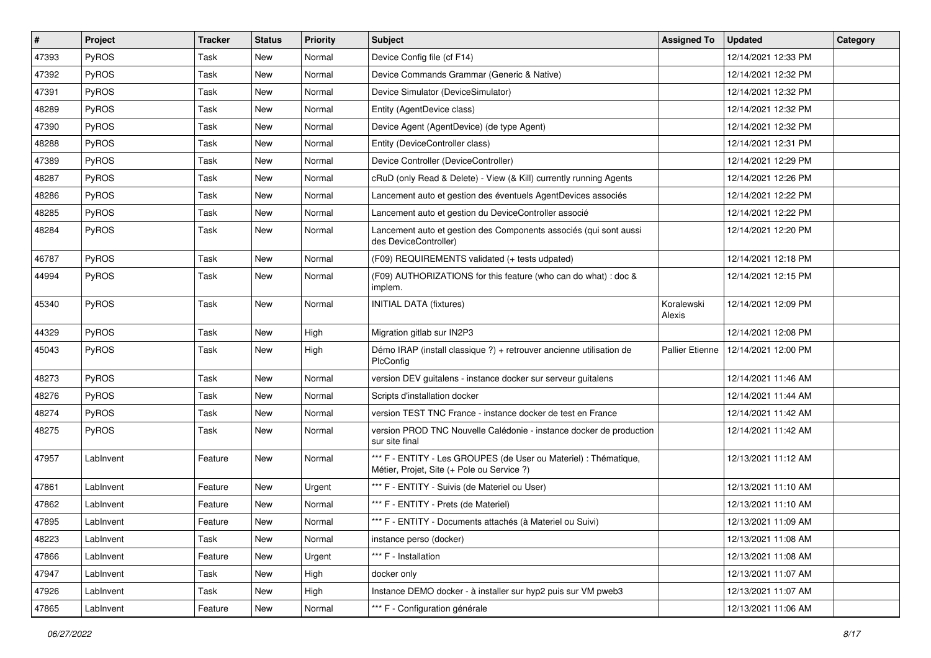| #     | Project      | <b>Tracker</b> | <b>Status</b> | <b>Priority</b> | <b>Subject</b>                                                                                                 | <b>Assigned To</b>     | <b>Updated</b>      | Category |
|-------|--------------|----------------|---------------|-----------------|----------------------------------------------------------------------------------------------------------------|------------------------|---------------------|----------|
| 47393 | PyROS        | Task           | <b>New</b>    | Normal          | Device Config file (cf F14)                                                                                    |                        | 12/14/2021 12:33 PM |          |
| 47392 | PyROS        | Task           | <b>New</b>    | Normal          | Device Commands Grammar (Generic & Native)                                                                     |                        | 12/14/2021 12:32 PM |          |
| 47391 | PyROS        | Task           | New           | Normal          | Device Simulator (DeviceSimulator)                                                                             |                        | 12/14/2021 12:32 PM |          |
| 48289 | PyROS        | Task           | New           | Normal          | Entity (AgentDevice class)                                                                                     |                        | 12/14/2021 12:32 PM |          |
| 47390 | PyROS        | Task           | <b>New</b>    | Normal          | Device Agent (AgentDevice) (de type Agent)                                                                     |                        | 12/14/2021 12:32 PM |          |
| 48288 | PyROS        | Task           | <b>New</b>    | Normal          | Entity (DeviceController class)                                                                                |                        | 12/14/2021 12:31 PM |          |
| 47389 | PyROS        | Task           | <b>New</b>    | Normal          | Device Controller (DeviceController)                                                                           |                        | 12/14/2021 12:29 PM |          |
| 48287 | PyROS        | Task           | New           | Normal          | cRuD (only Read & Delete) - View (& Kill) currently running Agents                                             |                        | 12/14/2021 12:26 PM |          |
| 48286 | PyROS        | Task           | New           | Normal          | Lancement auto et gestion des éventuels AgentDevices associés                                                  |                        | 12/14/2021 12:22 PM |          |
| 48285 | PyROS        | Task           | New           | Normal          | Lancement auto et gestion du DeviceController associé                                                          |                        | 12/14/2021 12:22 PM |          |
| 48284 | PyROS        | Task           | New           | Normal          | Lancement auto et gestion des Components associés (qui sont aussi<br>des DeviceController)                     |                        | 12/14/2021 12:20 PM |          |
| 46787 | PyROS        | Task           | New           | Normal          | (F09) REQUIREMENTS validated (+ tests udpated)                                                                 |                        | 12/14/2021 12:18 PM |          |
| 44994 | PyROS        | Task           | <b>New</b>    | Normal          | (F09) AUTHORIZATIONS for this feature (who can do what) : doc &<br>implem.                                     |                        | 12/14/2021 12:15 PM |          |
| 45340 | PyROS        | Task           | New           | Normal          | <b>INITIAL DATA (fixtures)</b>                                                                                 | Koralewski<br>Alexis   | 12/14/2021 12:09 PM |          |
| 44329 | PyROS        | Task           | New           | High            | Migration gitlab sur IN2P3                                                                                     |                        | 12/14/2021 12:08 PM |          |
| 45043 | PyROS        | Task           | New           | High            | Démo IRAP (install classique ?) + retrouver ancienne utilisation de<br>PlcConfig                               | <b>Pallier Etienne</b> | 12/14/2021 12:00 PM |          |
| 48273 | PyROS        | Task           | New           | Normal          | version DEV guitalens - instance docker sur serveur guitalens                                                  |                        | 12/14/2021 11:46 AM |          |
| 48276 | PyROS        | Task           | <b>New</b>    | Normal          | Scripts d'installation docker                                                                                  |                        | 12/14/2021 11:44 AM |          |
| 48274 | PyROS        | Task           | <b>New</b>    | Normal          | version TEST TNC France - instance docker de test en France                                                    |                        | 12/14/2021 11:42 AM |          |
| 48275 | <b>PyROS</b> | Task           | New           | Normal          | version PROD TNC Nouvelle Calédonie - instance docker de production<br>sur site final                          |                        | 12/14/2021 11:42 AM |          |
| 47957 | Lablnvent    | Feature        | New           | Normal          | *** F - ENTITY - Les GROUPES (de User ou Materiel) : Thématique,<br>Métier, Projet, Site (+ Pole ou Service ?) |                        | 12/13/2021 11:12 AM |          |
| 47861 | Lablnvent    | Feature        | New           | Urgent          | *** F - ENTITY - Suivis (de Materiel ou User)                                                                  |                        | 12/13/2021 11:10 AM |          |
| 47862 | LabInvent    | Feature        | New           | Normal          | *** F - ENTITY - Prets (de Materiel)                                                                           |                        | 12/13/2021 11:10 AM |          |
| 47895 | LabInvent    | Feature        | New           | Normal          | *** F - ENTITY - Documents attachés (à Materiel ou Suivi)                                                      |                        | 12/13/2021 11:09 AM |          |
| 48223 | LabInvent    | Task           | New           | Normal          | instance perso (docker)                                                                                        |                        | 12/13/2021 11:08 AM |          |
| 47866 | LabInvent    | Feature        | New           | Urgent          | *** F - Installation                                                                                           |                        | 12/13/2021 11:08 AM |          |
| 47947 | LabInvent    | Task           | New           | High            | docker only                                                                                                    |                        | 12/13/2021 11:07 AM |          |
| 47926 | LabInvent    | Task           | New           | High            | Instance DEMO docker - à installer sur hyp2 puis sur VM pweb3                                                  |                        | 12/13/2021 11:07 AM |          |
| 47865 | LabInvent    | Feature        | New           | Normal          | *** F - Configuration générale                                                                                 |                        | 12/13/2021 11:06 AM |          |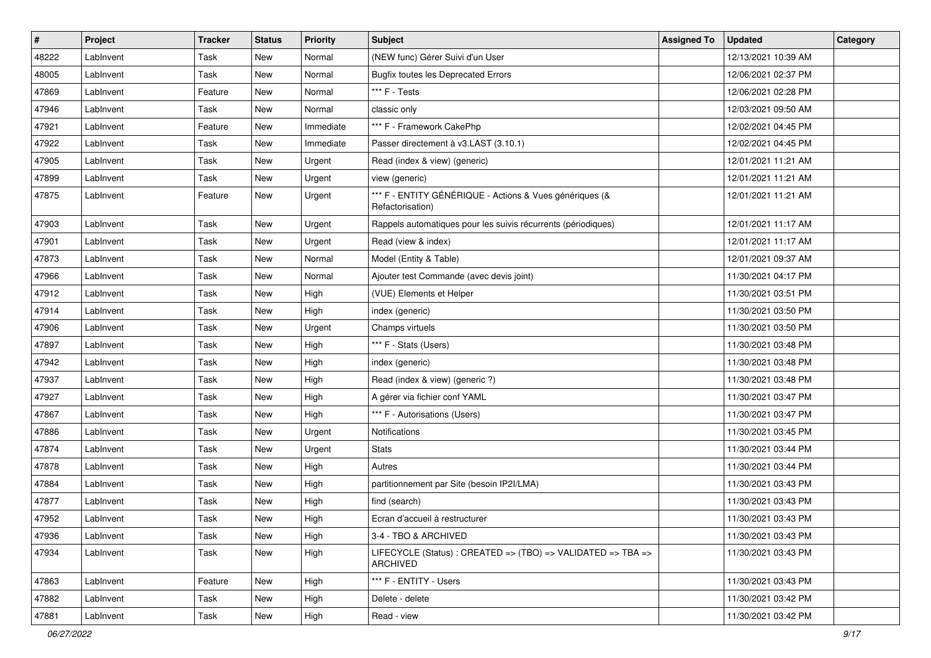| $\sharp$ | Project   | <b>Tracker</b> | <b>Status</b> | <b>Priority</b> | <b>Subject</b>                                                              | <b>Assigned To</b> | <b>Updated</b>      | Category |
|----------|-----------|----------------|---------------|-----------------|-----------------------------------------------------------------------------|--------------------|---------------------|----------|
| 48222    | LabInvent | Task           | <b>New</b>    | Normal          | (NEW func) Gérer Suivi d'un User                                            |                    | 12/13/2021 10:39 AM |          |
| 48005    | LabInvent | Task           | <b>New</b>    | Normal          | <b>Bugfix toutes les Deprecated Errors</b>                                  |                    | 12/06/2021 02:37 PM |          |
| 47869    | Lablnvent | Feature        | <b>New</b>    | Normal          | *** F - Tests                                                               |                    | 12/06/2021 02:28 PM |          |
| 47946    | Lablnvent | Task           | <b>New</b>    | Normal          | classic only                                                                |                    | 12/03/2021 09:50 AM |          |
| 47921    | Lablnvent | Feature        | New           | Immediate       | *** F - Framework CakePhp                                                   |                    | 12/02/2021 04:45 PM |          |
| 47922    | LabInvent | Task           | <b>New</b>    | Immediate       | Passer directement à v3.LAST (3.10.1)                                       |                    | 12/02/2021 04:45 PM |          |
| 47905    | LabInvent | Task           | <b>New</b>    | Urgent          | Read (index & view) (generic)                                               |                    | 12/01/2021 11:21 AM |          |
| 47899    | Lablnvent | Task           | New           | Urgent          | view (generic)                                                              |                    | 12/01/2021 11:21 AM |          |
| 47875    | LabInvent | Feature        | New           | Urgent          | *** F - ENTITY GÉNÉRIQUE - Actions & Vues génériques (&<br>Refactorisation) |                    | 12/01/2021 11:21 AM |          |
| 47903    | LabInvent | Task           | <b>New</b>    | Urgent          | Rappels automatiques pour les suivis récurrents (périodiques)               |                    | 12/01/2021 11:17 AM |          |
| 47901    | Lablnvent | Task           | <b>New</b>    | Urgent          | Read (view & index)                                                         |                    | 12/01/2021 11:17 AM |          |
| 47873    | Lablnvent | Task           | New           | Normal          | Model (Entity & Table)                                                      |                    | 12/01/2021 09:37 AM |          |
| 47966    | Lablnvent | Task           | <b>New</b>    | Normal          | Ajouter test Commande (avec devis joint)                                    |                    | 11/30/2021 04:17 PM |          |
| 47912    | Lablnvent | Task           | <b>New</b>    | High            | (VUE) Elements et Helper                                                    |                    | 11/30/2021 03:51 PM |          |
| 47914    | Lablnvent | Task           | <b>New</b>    | High            | index (generic)                                                             |                    | 11/30/2021 03:50 PM |          |
| 47906    | Lablnvent | Task           | <b>New</b>    | Urgent          | Champs virtuels                                                             |                    | 11/30/2021 03:50 PM |          |
| 47897    | Lablnvent | Task           | New           | High            | *** F - Stats (Users)                                                       |                    | 11/30/2021 03:48 PM |          |
| 47942    | LabInvent | Task           | New           | High            | index (generic)                                                             |                    | 11/30/2021 03:48 PM |          |
| 47937    | LabInvent | Task           | <b>New</b>    | High            | Read (index & view) (generic ?)                                             |                    | 11/30/2021 03:48 PM |          |
| 47927    | Lablnvent | Task           | New           | High            | A gérer via fichier conf YAML                                               |                    | 11/30/2021 03:47 PM |          |
| 47867    | LabInvent | Task           | <b>New</b>    | High            | *** F - Autorisations (Users)                                               |                    | 11/30/2021 03:47 PM |          |
| 47886    | Lablnvent | Task           | New           | Urgent          | Notifications                                                               |                    | 11/30/2021 03:45 PM |          |
| 47874    | LabInvent | Task           | New           | Urgent          | <b>Stats</b>                                                                |                    | 11/30/2021 03:44 PM |          |
| 47878    | Lablnvent | Task           | <b>New</b>    | High            | Autres                                                                      |                    | 11/30/2021 03:44 PM |          |
| 47884    | Lablnvent | Task           | New           | High            | partitionnement par Site (besoin IP2I/LMA)                                  |                    | 11/30/2021 03:43 PM |          |
| 47877    | LabInvent | Task           | <b>New</b>    | High            | find (search)                                                               |                    | 11/30/2021 03:43 PM |          |
| 47952    | LabInvent | Task           | New           | High            | Ecran d'accueil à restructurer                                              |                    | 11/30/2021 03:43 PM |          |
| 47936    | LabInvent | Task           | New           | High            | 3-4 - TBO & ARCHIVED                                                        |                    | 11/30/2021 03:43 PM |          |
| 47934    | LabInvent | Task           | New           | High            | LIFECYCLE (Status) : CREATED => (TBO) => VALIDATED => TBA =><br>ARCHIVED    |                    | 11/30/2021 03:43 PM |          |
| 47863    | Lablnvent | Feature        | New           | High            | *** F - ENTITY - Users                                                      |                    | 11/30/2021 03:43 PM |          |
| 47882    | LabInvent | Task           | New           | High            | Delete - delete                                                             |                    | 11/30/2021 03:42 PM |          |
| 47881    | LabInvent | Task           | New           | High            | Read - view                                                                 |                    | 11/30/2021 03:42 PM |          |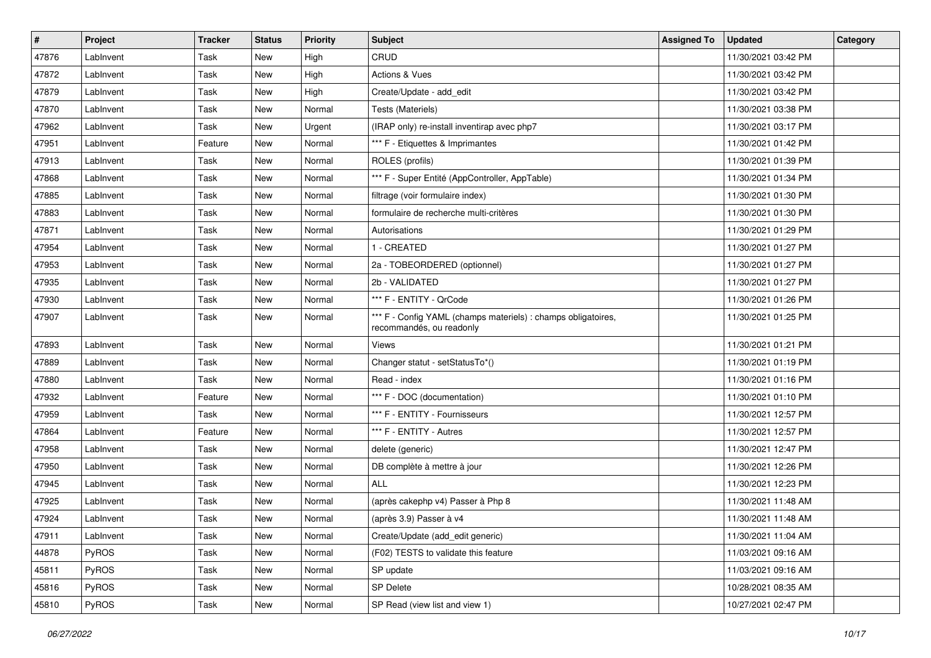| #     | Project   | <b>Tracker</b> | <b>Status</b> | <b>Priority</b> | <b>Subject</b>                                                                            | <b>Assigned To</b> | <b>Updated</b>      | Category |
|-------|-----------|----------------|---------------|-----------------|-------------------------------------------------------------------------------------------|--------------------|---------------------|----------|
| 47876 | LabInvent | Task           | <b>New</b>    | High            | CRUD                                                                                      |                    | 11/30/2021 03:42 PM |          |
| 47872 | LabInvent | Task           | <b>New</b>    | High            | Actions & Vues                                                                            |                    | 11/30/2021 03:42 PM |          |
| 47879 | Lablnvent | Task           | New           | High            | Create/Update - add_edit                                                                  |                    | 11/30/2021 03:42 PM |          |
| 47870 | Lablnvent | Task           | <b>New</b>    | Normal          | Tests (Materiels)                                                                         |                    | 11/30/2021 03:38 PM |          |
| 47962 | Lablnvent | Task           | New           | Urgent          | (IRAP only) re-install inventirap avec php7                                               |                    | 11/30/2021 03:17 PM |          |
| 47951 | LabInvent | Feature        | <b>New</b>    | Normal          | *** F - Etiquettes & Imprimantes                                                          |                    | 11/30/2021 01:42 PM |          |
| 47913 | LabInvent | Task           | <b>New</b>    | Normal          | ROLES (profils)                                                                           |                    | 11/30/2021 01:39 PM |          |
| 47868 | Lablnvent | Task           | New           | Normal          | *** F - Super Entité (AppController, AppTable)                                            |                    | 11/30/2021 01:34 PM |          |
| 47885 | Lablnvent | Task           | <b>New</b>    | Normal          | filtrage (voir formulaire index)                                                          |                    | 11/30/2021 01:30 PM |          |
| 47883 | Lablnvent | Task           | New           | Normal          | formulaire de recherche multi-critères                                                    |                    | 11/30/2021 01:30 PM |          |
| 47871 | LabInvent | Task           | <b>New</b>    | Normal          | Autorisations                                                                             |                    | 11/30/2021 01:29 PM |          |
| 47954 | Lablnvent | Task           | New           | Normal          | 1 - CREATED                                                                               |                    | 11/30/2021 01:27 PM |          |
| 47953 | Lablnvent | Task           | New           | Normal          | 2a - TOBEORDERED (optionnel)                                                              |                    | 11/30/2021 01:27 PM |          |
| 47935 | LabInvent | Task           | <b>New</b>    | Normal          | 2b - VALIDATED                                                                            |                    | 11/30/2021 01:27 PM |          |
| 47930 | Lablnvent | Task           | <b>New</b>    | Normal          | *** F - ENTITY - QrCode                                                                   |                    | 11/30/2021 01:26 PM |          |
| 47907 | LabInvent | Task           | New           | Normal          | *** F - Config YAML (champs materiels) : champs obligatoires,<br>recommandés, ou readonly |                    | 11/30/2021 01:25 PM |          |
| 47893 | LabInvent | Task           | New           | Normal          | Views                                                                                     |                    | 11/30/2021 01:21 PM |          |
| 47889 | LabInvent | Task           | New           | Normal          | Changer statut - setStatusTo*()                                                           |                    | 11/30/2021 01:19 PM |          |
| 47880 | Lablnvent | Task           | <b>New</b>    | Normal          | Read - index                                                                              |                    | 11/30/2021 01:16 PM |          |
| 47932 | Lablnvent | Feature        | New           | Normal          | *** F - DOC (documentation)                                                               |                    | 11/30/2021 01:10 PM |          |
| 47959 | Lablnvent | Task           | New           | Normal          | *** F - ENTITY - Fournisseurs                                                             |                    | 11/30/2021 12:57 PM |          |
| 47864 | Lablnvent | Feature        | New           | Normal          | *** F - ENTITY - Autres                                                                   |                    | 11/30/2021 12:57 PM |          |
| 47958 | LabInvent | Task           | New           | Normal          | delete (generic)                                                                          |                    | 11/30/2021 12:47 PM |          |
| 47950 | Lablnvent | Task           | <b>New</b>    | Normal          | DB complète à mettre à jour                                                               |                    | 11/30/2021 12:26 PM |          |
| 47945 | LabInvent | Task           | New           | Normal          | ALL                                                                                       |                    | 11/30/2021 12:23 PM |          |
| 47925 | LabInvent | Task           | <b>New</b>    | Normal          | (après cakephp v4) Passer à Php 8                                                         |                    | 11/30/2021 11:48 AM |          |
| 47924 | LabInvent | Task           | <b>New</b>    | Normal          | (après 3.9) Passer à v4                                                                   |                    | 11/30/2021 11:48 AM |          |
| 47911 | LabInvent | Task           | New           | Normal          | Create/Update (add_edit generic)                                                          |                    | 11/30/2021 11:04 AM |          |
| 44878 | PyROS     | Task           | New           | Normal          | (F02) TESTS to validate this feature                                                      |                    | 11/03/2021 09:16 AM |          |
| 45811 | PyROS     | Task           | New           | Normal          | SP update                                                                                 |                    | 11/03/2021 09:16 AM |          |
| 45816 | PyROS     | Task           | New           | Normal          | <b>SP Delete</b>                                                                          |                    | 10/28/2021 08:35 AM |          |
| 45810 | PyROS     | Task           | New           | Normal          | SP Read (view list and view 1)                                                            |                    | 10/27/2021 02:47 PM |          |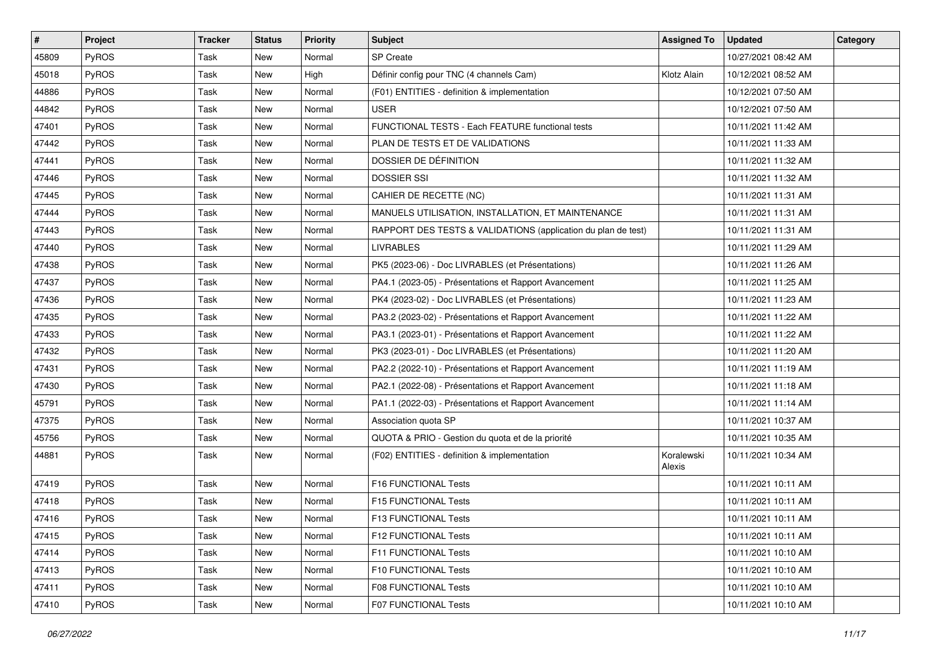| #     | Project      | <b>Tracker</b> | <b>Status</b> | <b>Priority</b> | <b>Subject</b>                                                | <b>Assigned To</b>   | <b>Updated</b>      | Category |
|-------|--------------|----------------|---------------|-----------------|---------------------------------------------------------------|----------------------|---------------------|----------|
| 45809 | <b>PyROS</b> | Task           | New           | Normal          | <b>SP</b> Create                                              |                      | 10/27/2021 08:42 AM |          |
| 45018 | PyROS        | Task           | <b>New</b>    | High            | Définir config pour TNC (4 channels Cam)                      | Klotz Alain          | 10/12/2021 08:52 AM |          |
| 44886 | PyROS        | Task           | New           | Normal          | (F01) ENTITIES - definition & implementation                  |                      | 10/12/2021 07:50 AM |          |
| 44842 | PyROS        | Task           | <b>New</b>    | Normal          | <b>USER</b>                                                   |                      | 10/12/2021 07:50 AM |          |
| 47401 | PyROS        | Task           | New           | Normal          | FUNCTIONAL TESTS - Each FEATURE functional tests              |                      | 10/11/2021 11:42 AM |          |
| 47442 | PyROS        | Task           | New           | Normal          | PLAN DE TESTS ET DE VALIDATIONS                               |                      | 10/11/2021 11:33 AM |          |
| 47441 | PyROS        | Task           | <b>New</b>    | Normal          | DOSSIER DE DÉFINITION                                         |                      | 10/11/2021 11:32 AM |          |
| 47446 | PyROS        | Task           | New           | Normal          | <b>DOSSIER SSI</b>                                            |                      | 10/11/2021 11:32 AM |          |
| 47445 | PyROS        | Task           | <b>New</b>    | Normal          | CAHIER DE RECETTE (NC)                                        |                      | 10/11/2021 11:31 AM |          |
| 47444 | PyROS        | Task           | New           | Normal          | MANUELS UTILISATION, INSTALLATION, ET MAINTENANCE             |                      | 10/11/2021 11:31 AM |          |
| 47443 | PyROS        | Task           | <b>New</b>    | Normal          | RAPPORT DES TESTS & VALIDATIONS (application du plan de test) |                      | 10/11/2021 11:31 AM |          |
| 47440 | PyROS        | Task           | New           | Normal          | <b>LIVRABLES</b>                                              |                      | 10/11/2021 11:29 AM |          |
| 47438 | PyROS        | Task           | New           | Normal          | PK5 (2023-06) - Doc LIVRABLES (et Présentations)              |                      | 10/11/2021 11:26 AM |          |
| 47437 | PyROS        | Task           | <b>New</b>    | Normal          | PA4.1 (2023-05) - Présentations et Rapport Avancement         |                      | 10/11/2021 11:25 AM |          |
| 47436 | PyROS        | Task           | <b>New</b>    | Normal          | PK4 (2023-02) - Doc LIVRABLES (et Présentations)              |                      | 10/11/2021 11:23 AM |          |
| 47435 | PyROS        | Task           | New           | Normal          | PA3.2 (2023-02) - Présentations et Rapport Avancement         |                      | 10/11/2021 11:22 AM |          |
| 47433 | PyROS        | Task           | <b>New</b>    | Normal          | PA3.1 (2023-01) - Présentations et Rapport Avancement         |                      | 10/11/2021 11:22 AM |          |
| 47432 | PyROS        | Task           | New           | Normal          | PK3 (2023-01) - Doc LIVRABLES (et Présentations)              |                      | 10/11/2021 11:20 AM |          |
| 47431 | PyROS        | Task           | New           | Normal          | PA2.2 (2022-10) - Présentations et Rapport Avancement         |                      | 10/11/2021 11:19 AM |          |
| 47430 | PyROS        | Task           | <b>New</b>    | Normal          | PA2.1 (2022-08) - Présentations et Rapport Avancement         |                      | 10/11/2021 11:18 AM |          |
| 45791 | PyROS        | Task           | New           | Normal          | PA1.1 (2022-03) - Présentations et Rapport Avancement         |                      | 10/11/2021 11:14 AM |          |
| 47375 | PyROS        | Task           | New           | Normal          | Association quota SP                                          |                      | 10/11/2021 10:37 AM |          |
| 45756 | PyROS        | Task           | New           | Normal          | QUOTA & PRIO - Gestion du quota et de la priorité             |                      | 10/11/2021 10:35 AM |          |
| 44881 | PyROS        | Task           | New           | Normal          | (F02) ENTITIES - definition & implementation                  | Koralewski<br>Alexis | 10/11/2021 10:34 AM |          |
| 47419 | PyROS        | Task           | New           | Normal          | F16 FUNCTIONAL Tests                                          |                      | 10/11/2021 10:11 AM |          |
| 47418 | PyROS        | Task           | <b>New</b>    | Normal          | F15 FUNCTIONAL Tests                                          |                      | 10/11/2021 10:11 AM |          |
| 47416 | PyROS        | Task           | <b>New</b>    | Normal          | F13 FUNCTIONAL Tests                                          |                      | 10/11/2021 10:11 AM |          |
| 47415 | PyROS        | Task           | New           | Normal          | <b>F12 FUNCTIONAL Tests</b>                                   |                      | 10/11/2021 10:11 AM |          |
| 47414 | PyROS        | Task           | New           | Normal          | <b>F11 FUNCTIONAL Tests</b>                                   |                      | 10/11/2021 10:10 AM |          |
| 47413 | PyROS        | Task           | New           | Normal          | F10 FUNCTIONAL Tests                                          |                      | 10/11/2021 10:10 AM |          |
| 47411 | PyROS        | Task           | New           | Normal          | <b>F08 FUNCTIONAL Tests</b>                                   |                      | 10/11/2021 10:10 AM |          |
| 47410 | PyROS        | Task           | New           | Normal          | F07 FUNCTIONAL Tests                                          |                      | 10/11/2021 10:10 AM |          |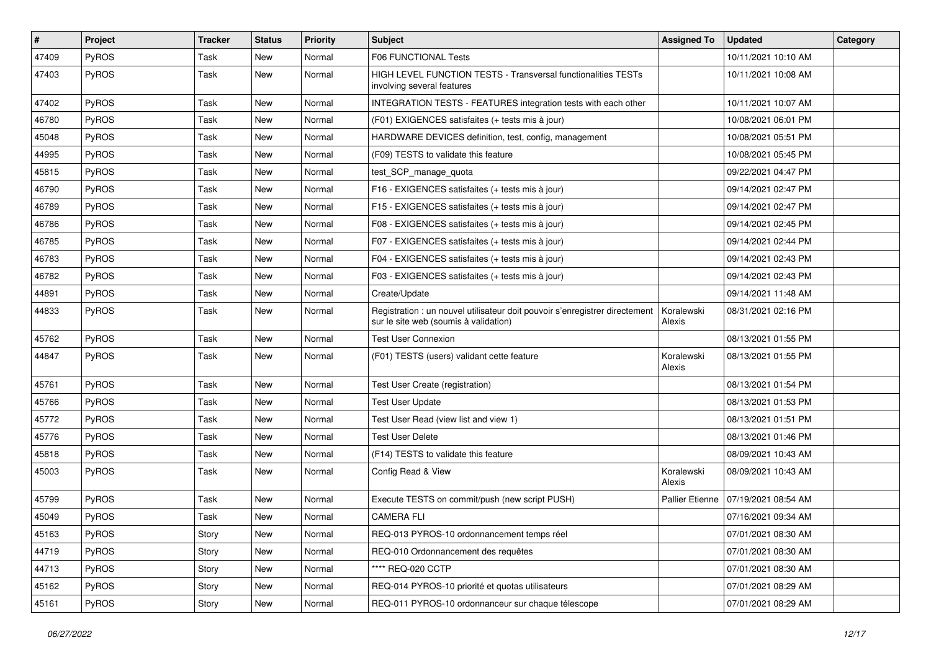| $\vert$ # | Project      | <b>Tracker</b> | <b>Status</b> | <b>Priority</b> | <b>Subject</b>                                                                                                       | <b>Assigned To</b>     | <b>Updated</b>      | Category |
|-----------|--------------|----------------|---------------|-----------------|----------------------------------------------------------------------------------------------------------------------|------------------------|---------------------|----------|
| 47409     | PyROS        | Task           | <b>New</b>    | Normal          | F06 FUNCTIONAL Tests                                                                                                 |                        | 10/11/2021 10:10 AM |          |
| 47403     | PyROS        | Task           | <b>New</b>    | Normal          | HIGH LEVEL FUNCTION TESTS - Transversal functionalities TESTs<br>involving several features                          |                        | 10/11/2021 10:08 AM |          |
| 47402     | PyROS        | Task           | New           | Normal          | INTEGRATION TESTS - FEATURES integration tests with each other                                                       |                        | 10/11/2021 10:07 AM |          |
| 46780     | PyROS        | Task           | New           | Normal          | (F01) EXIGENCES satisfaites (+ tests mis à jour)                                                                     |                        | 10/08/2021 06:01 PM |          |
| 45048     | PyROS        | Task           | <b>New</b>    | Normal          | HARDWARE DEVICES definition, test, config, management                                                                |                        | 10/08/2021 05:51 PM |          |
| 44995     | PyROS        | Task           | <b>New</b>    | Normal          | (F09) TESTS to validate this feature                                                                                 |                        | 10/08/2021 05:45 PM |          |
| 45815     | PyROS        | Task           | <b>New</b>    | Normal          | test_SCP_manage_quota                                                                                                |                        | 09/22/2021 04:47 PM |          |
| 46790     | PyROS        | Task           | <b>New</b>    | Normal          | F16 - EXIGENCES satisfaites (+ tests mis à jour)                                                                     |                        | 09/14/2021 02:47 PM |          |
| 46789     | PyROS        | Task           | New           | Normal          | F15 - EXIGENCES satisfaites (+ tests mis à jour)                                                                     |                        | 09/14/2021 02:47 PM |          |
| 46786     | <b>PyROS</b> | Task           | <b>New</b>    | Normal          | F08 - EXIGENCES satisfaites (+ tests mis à jour)                                                                     |                        | 09/14/2021 02:45 PM |          |
| 46785     | PyROS        | Task           | <b>New</b>    | Normal          | F07 - EXIGENCES satisfaites (+ tests mis à jour)                                                                     |                        | 09/14/2021 02:44 PM |          |
| 46783     | PyROS        | Task           | New           | Normal          | F04 - EXIGENCES satisfaites (+ tests mis à jour)                                                                     |                        | 09/14/2021 02:43 PM |          |
| 46782     | PyROS        | Task           | <b>New</b>    | Normal          | F03 - EXIGENCES satisfaites (+ tests mis à jour)                                                                     |                        | 09/14/2021 02:43 PM |          |
| 44891     | PyROS        | Task           | <b>New</b>    | Normal          | Create/Update                                                                                                        |                        | 09/14/2021 11:48 AM |          |
| 44833     | PyROS        | Task           | <b>New</b>    | Normal          | Registration : un nouvel utilisateur doit pouvoir s'enregistrer directement<br>sur le site web (soumis à validation) | Koralewski<br>Alexis   | 08/31/2021 02:16 PM |          |
| 45762     | PyROS        | Task           | New           | Normal          | <b>Test User Connexion</b>                                                                                           |                        | 08/13/2021 01:55 PM |          |
| 44847     | PyROS        | Task           | <b>New</b>    | Normal          | (F01) TESTS (users) validant cette feature                                                                           | Koralewski<br>Alexis   | 08/13/2021 01:55 PM |          |
| 45761     | PyROS        | Task           | New           | Normal          | Test User Create (registration)                                                                                      |                        | 08/13/2021 01:54 PM |          |
| 45766     | PyROS        | Task           | New           | Normal          | <b>Test User Update</b>                                                                                              |                        | 08/13/2021 01:53 PM |          |
| 45772     | PyROS        | Task           | <b>New</b>    | Normal          | Test User Read (view list and view 1)                                                                                |                        | 08/13/2021 01:51 PM |          |
| 45776     | PyROS        | Task           | <b>New</b>    | Normal          | <b>Test User Delete</b>                                                                                              |                        | 08/13/2021 01:46 PM |          |
| 45818     | PyROS        | Task           | New           | Normal          | (F14) TESTS to validate this feature                                                                                 |                        | 08/09/2021 10:43 AM |          |
| 45003     | PyROS        | Task           | <b>New</b>    | Normal          | Config Read & View                                                                                                   | Koralewski<br>Alexis   | 08/09/2021 10:43 AM |          |
| 45799     | PyROS        | Task           | <b>New</b>    | Normal          | Execute TESTS on commit/push (new script PUSH)                                                                       | <b>Pallier Etienne</b> | 07/19/2021 08:54 AM |          |
| 45049     | PyROS        | Task           | New           | Normal          | <b>CAMERA FLI</b>                                                                                                    |                        | 07/16/2021 09:34 AM |          |
| 45163     | PyROS        | Story          | New           | Normal          | REQ-013 PYROS-10 ordonnancement temps réel                                                                           |                        | 07/01/2021 08:30 AM |          |
| 44719     | PyROS        | Story          | New           | Normal          | REQ-010 Ordonnancement des requêtes                                                                                  |                        | 07/01/2021 08:30 AM |          |
| 44713     | PyROS        | Story          | New           | Normal          | **** REQ-020 CCTP                                                                                                    |                        | 07/01/2021 08:30 AM |          |
| 45162     | PyROS        | Story          | New           | Normal          | REQ-014 PYROS-10 priorité et quotas utilisateurs                                                                     |                        | 07/01/2021 08:29 AM |          |
| 45161     | PyROS        | Story          | New           | Normal          | REQ-011 PYROS-10 ordonnanceur sur chaque télescope                                                                   |                        | 07/01/2021 08:29 AM |          |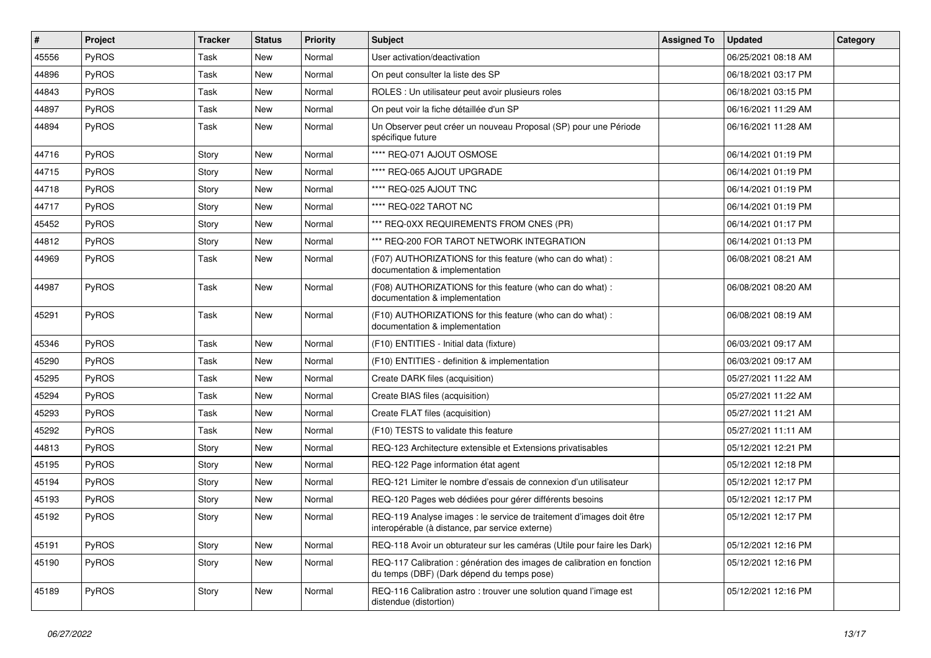| $\pmb{\#}$ | Project      | <b>Tracker</b> | <b>Status</b> | <b>Priority</b> | <b>Subject</b>                                                                                                          | <b>Assigned To</b> | <b>Updated</b>      | <b>Category</b> |
|------------|--------------|----------------|---------------|-----------------|-------------------------------------------------------------------------------------------------------------------------|--------------------|---------------------|-----------------|
| 45556      | PyROS        | Task           | New           | Normal          | User activation/deactivation                                                                                            |                    | 06/25/2021 08:18 AM |                 |
| 44896      | PyROS        | Task           | <b>New</b>    | Normal          | On peut consulter la liste des SP                                                                                       |                    | 06/18/2021 03:17 PM |                 |
| 44843      | <b>PyROS</b> | Task           | New           | Normal          | ROLES : Un utilisateur peut avoir plusieurs roles                                                                       |                    | 06/18/2021 03:15 PM |                 |
| 44897      | <b>PyROS</b> | Task           | New           | Normal          | On peut voir la fiche détaillée d'un SP                                                                                 |                    | 06/16/2021 11:29 AM |                 |
| 44894      | <b>PyROS</b> | Task           | <b>New</b>    | Normal          | Un Observer peut créer un nouveau Proposal (SP) pour une Période<br>spécifique future                                   |                    | 06/16/2021 11:28 AM |                 |
| 44716      | <b>PyROS</b> | Story          | <b>New</b>    | Normal          | **** REQ-071 AJOUT OSMOSE                                                                                               |                    | 06/14/2021 01:19 PM |                 |
| 44715      | <b>PyROS</b> | Story          | New           | Normal          | **** REQ-065 AJOUT UPGRADE                                                                                              |                    | 06/14/2021 01:19 PM |                 |
| 44718      | <b>PyROS</b> | Story          | New           | Normal          | **** REQ-025 AJOUT TNC                                                                                                  |                    | 06/14/2021 01:19 PM |                 |
| 44717      | <b>PyROS</b> | Story          | <b>New</b>    | Normal          | **** REQ-022 TAROT NC                                                                                                   |                    | 06/14/2021 01:19 PM |                 |
| 45452      | <b>PyROS</b> | Story          | New           | Normal          | *** REQ-0XX REQUIREMENTS FROM CNES (PR)                                                                                 |                    | 06/14/2021 01:17 PM |                 |
| 44812      | PyROS        | Story          | New           | Normal          | *** REQ-200 FOR TAROT NETWORK INTEGRATION                                                                               |                    | 06/14/2021 01:13 PM |                 |
| 44969      | <b>PyROS</b> | Task           | New           | Normal          | (F07) AUTHORIZATIONS for this feature (who can do what) :<br>documentation & implementation                             |                    | 06/08/2021 08:21 AM |                 |
| 44987      | <b>PyROS</b> | Task           | <b>New</b>    | Normal          | (F08) AUTHORIZATIONS for this feature (who can do what) :<br>documentation & implementation                             |                    | 06/08/2021 08:20 AM |                 |
| 45291      | <b>PyROS</b> | Task           | <b>New</b>    | Normal          | (F10) AUTHORIZATIONS for this feature (who can do what) :<br>documentation & implementation                             |                    | 06/08/2021 08:19 AM |                 |
| 45346      | <b>PyROS</b> | Task           | <b>New</b>    | Normal          | (F10) ENTITIES - Initial data (fixture)                                                                                 |                    | 06/03/2021 09:17 AM |                 |
| 45290      | <b>PyROS</b> | Task           | New           | Normal          | (F10) ENTITIES - definition & implementation                                                                            |                    | 06/03/2021 09:17 AM |                 |
| 45295      | <b>PyROS</b> | Task           | <b>New</b>    | Normal          | Create DARK files (acquisition)                                                                                         |                    | 05/27/2021 11:22 AM |                 |
| 45294      | <b>PyROS</b> | Task           | New           | Normal          | Create BIAS files (acquisition)                                                                                         |                    | 05/27/2021 11:22 AM |                 |
| 45293      | PyROS        | Task           | New           | Normal          | Create FLAT files (acquisition)                                                                                         |                    | 05/27/2021 11:21 AM |                 |
| 45292      | <b>PyROS</b> | Task           | New           | Normal          | (F10) TESTS to validate this feature                                                                                    |                    | 05/27/2021 11:11 AM |                 |
| 44813      | <b>PyROS</b> | Story          | <b>New</b>    | Normal          | REQ-123 Architecture extensible et Extensions privatisables                                                             |                    | 05/12/2021 12:21 PM |                 |
| 45195      | PyROS        | Story          | <b>New</b>    | Normal          | REQ-122 Page information état agent                                                                                     |                    | 05/12/2021 12:18 PM |                 |
| 45194      | PyROS        | Story          | New           | Normal          | REQ-121 Limiter le nombre d'essais de connexion d'un utilisateur                                                        |                    | 05/12/2021 12:17 PM |                 |
| 45193      | <b>PyROS</b> | Story          | <b>New</b>    | Normal          | REQ-120 Pages web dédiées pour gérer différents besoins                                                                 |                    | 05/12/2021 12:17 PM |                 |
| 45192      | <b>PyROS</b> | Story          | <b>New</b>    | Normal          | REQ-119 Analyse images : le service de traitement d'images doit être<br>interopérable (à distance, par service externe) |                    | 05/12/2021 12:17 PM |                 |
| 45191      | PyROS        | Story          | New           | Normal          | REQ-118 Avoir un obturateur sur les caméras (Utile pour faire les Dark)                                                 |                    | 05/12/2021 12:16 PM |                 |
| 45190      | <b>PyROS</b> | Story          | New           | Normal          | REQ-117 Calibration : génération des images de calibration en fonction<br>du temps (DBF) (Dark dépend du temps pose)    |                    | 05/12/2021 12:16 PM |                 |
| 45189      | PyROS        | Story          | New           | Normal          | REQ-116 Calibration astro: trouver une solution quand l'image est<br>distendue (distortion)                             |                    | 05/12/2021 12:16 PM |                 |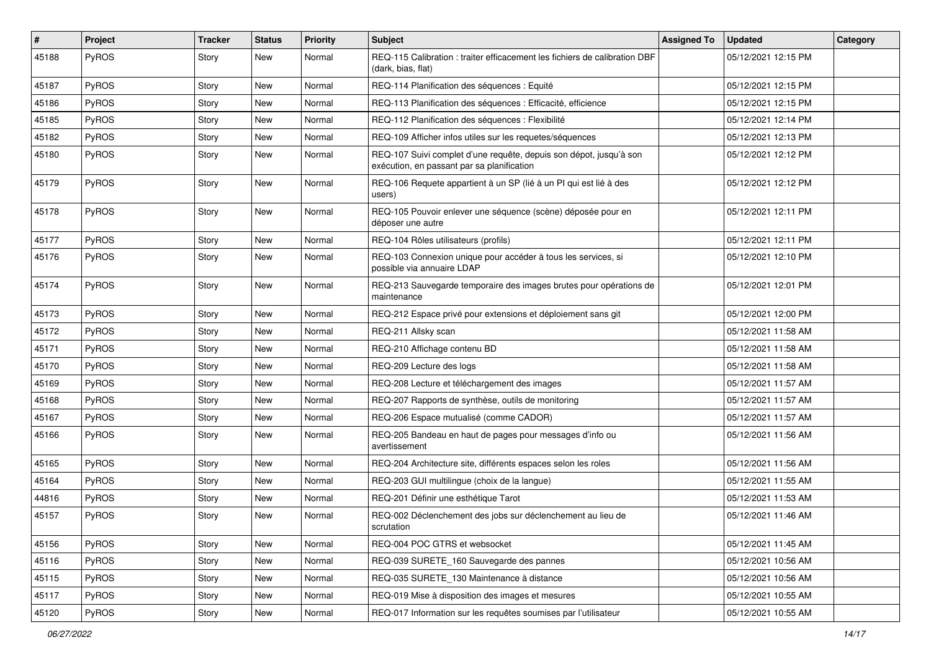| $\vert$ # | Project      | <b>Tracker</b> | <b>Status</b> | <b>Priority</b> | Subject                                                                                                          | <b>Assigned To</b> | <b>Updated</b>      | Category |
|-----------|--------------|----------------|---------------|-----------------|------------------------------------------------------------------------------------------------------------------|--------------------|---------------------|----------|
| 45188     | <b>PyROS</b> | Story          | New           | Normal          | REQ-115 Calibration : traiter efficacement les fichiers de calibration DBF<br>(dark, bias, flat)                 |                    | 05/12/2021 12:15 PM |          |
| 45187     | PyROS        | Story          | New           | Normal          | REQ-114 Planification des séquences : Equité                                                                     |                    | 05/12/2021 12:15 PM |          |
| 45186     | PyROS        | Story          | New           | Normal          | REQ-113 Planification des séquences : Efficacité, efficience                                                     |                    | 05/12/2021 12:15 PM |          |
| 45185     | PyROS        | Story          | New           | Normal          | REQ-112 Planification des séquences : Flexibilité                                                                |                    | 05/12/2021 12:14 PM |          |
| 45182     | PyROS        | Story          | New           | Normal          | REQ-109 Afficher infos utiles sur les requetes/séquences                                                         |                    | 05/12/2021 12:13 PM |          |
| 45180     | PyROS        | Story          | New           | Normal          | REQ-107 Suivi complet d'une requête, depuis son dépot, jusqu'à son<br>exécution, en passant par sa planification |                    | 05/12/2021 12:12 PM |          |
| 45179     | PyROS        | Story          | New           | Normal          | REQ-106 Requete appartient à un SP (lié à un PI qui est lié à des<br>users)                                      |                    | 05/12/2021 12:12 PM |          |
| 45178     | PyROS        | Story          | New           | Normal          | REQ-105 Pouvoir enlever une séquence (scène) déposée pour en<br>déposer une autre                                |                    | 05/12/2021 12:11 PM |          |
| 45177     | PyROS        | Story          | New           | Normal          | REQ-104 Rôles utilisateurs (profils)                                                                             |                    | 05/12/2021 12:11 PM |          |
| 45176     | <b>PyROS</b> | Story          | New           | Normal          | REQ-103 Connexion unique pour accéder à tous les services, si<br>possible via annuaire LDAP                      |                    | 05/12/2021 12:10 PM |          |
| 45174     | PyROS        | Story          | New           | Normal          | REQ-213 Sauvegarde temporaire des images brutes pour opérations de<br>maintenance                                |                    | 05/12/2021 12:01 PM |          |
| 45173     | PyROS        | Story          | New           | Normal          | REQ-212 Espace privé pour extensions et déploiement sans git                                                     |                    | 05/12/2021 12:00 PM |          |
| 45172     | PyROS        | Story          | New           | Normal          | REQ-211 Allsky scan                                                                                              |                    | 05/12/2021 11:58 AM |          |
| 45171     | PyROS        | Story          | <b>New</b>    | Normal          | REQ-210 Affichage contenu BD                                                                                     |                    | 05/12/2021 11:58 AM |          |
| 45170     | PyROS        | Story          | New           | Normal          | REQ-209 Lecture des logs                                                                                         |                    | 05/12/2021 11:58 AM |          |
| 45169     | PyROS        | Story          | New           | Normal          | REQ-208 Lecture et téléchargement des images                                                                     |                    | 05/12/2021 11:57 AM |          |
| 45168     | PyROS        | Story          | New           | Normal          | REQ-207 Rapports de synthèse, outils de monitoring                                                               |                    | 05/12/2021 11:57 AM |          |
| 45167     | PyROS        | Story          | New           | Normal          | REQ-206 Espace mutualisé (comme CADOR)                                                                           |                    | 05/12/2021 11:57 AM |          |
| 45166     | PyROS        | Story          | New           | Normal          | REQ-205 Bandeau en haut de pages pour messages d'info ou<br>avertissement                                        |                    | 05/12/2021 11:56 AM |          |
| 45165     | PyROS        | Story          | New           | Normal          | REQ-204 Architecture site, différents espaces selon les roles                                                    |                    | 05/12/2021 11:56 AM |          |
| 45164     | PyROS        | Story          | <b>New</b>    | Normal          | REQ-203 GUI multilingue (choix de la langue)                                                                     |                    | 05/12/2021 11:55 AM |          |
| 44816     | PyROS        | Story          | New           | Normal          | REQ-201 Définir une esthétique Tarot                                                                             |                    | 05/12/2021 11:53 AM |          |
| 45157     | PyROS        | Story          | New           | Normal          | REQ-002 Déclenchement des jobs sur déclenchement au lieu de<br>scrutation                                        |                    | 05/12/2021 11:46 AM |          |
| 45156     | PyROS        | Story          | New           | Normal          | REQ-004 POC GTRS et websocket                                                                                    |                    | 05/12/2021 11:45 AM |          |
| 45116     | PyROS        | Story          | New           | Normal          | REQ-039 SURETE 160 Sauvegarde des pannes                                                                         |                    | 05/12/2021 10:56 AM |          |
| 45115     | PyROS        | Story          | New           | Normal          | REQ-035 SURETE_130 Maintenance à distance                                                                        |                    | 05/12/2021 10:56 AM |          |
| 45117     | PyROS        | Story          | New           | Normal          | REQ-019 Mise à disposition des images et mesures                                                                 |                    | 05/12/2021 10:55 AM |          |
| 45120     | PyROS        | Story          | New           | Normal          | REQ-017 Information sur les requêtes soumises par l'utilisateur                                                  |                    | 05/12/2021 10:55 AM |          |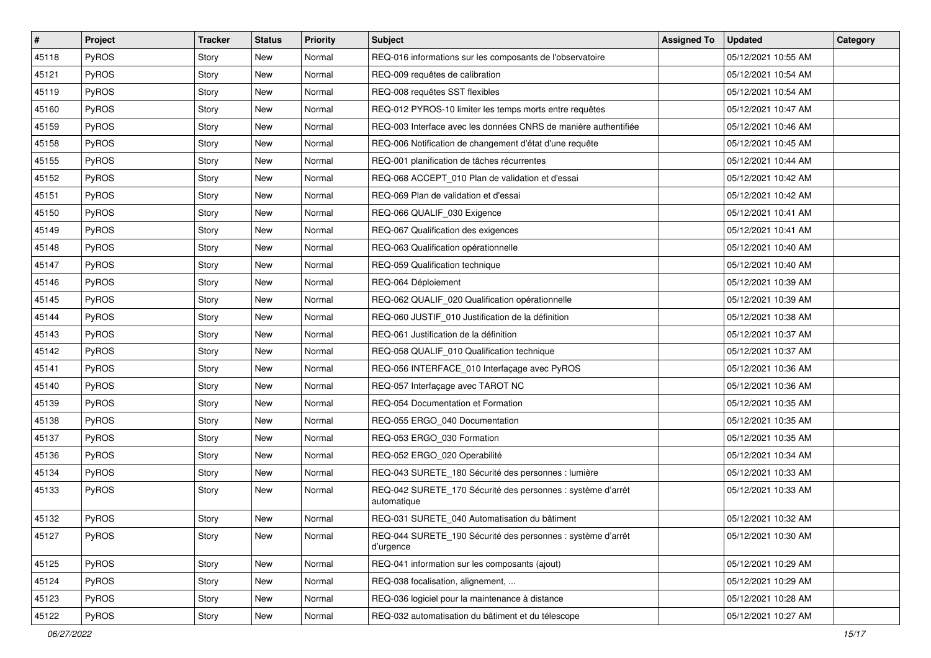| $\vert$ # | Project      | <b>Tracker</b> | <b>Status</b> | <b>Priority</b> | <b>Subject</b>                                                             | <b>Assigned To</b> | <b>Updated</b>      | Category |
|-----------|--------------|----------------|---------------|-----------------|----------------------------------------------------------------------------|--------------------|---------------------|----------|
| 45118     | <b>PyROS</b> | Story          | New           | Normal          | REQ-016 informations sur les composants de l'observatoire                  |                    | 05/12/2021 10:55 AM |          |
| 45121     | PyROS        | Story          | <b>New</b>    | Normal          | REQ-009 requêtes de calibration                                            |                    | 05/12/2021 10:54 AM |          |
| 45119     | PyROS        | Story          | New           | Normal          | REQ-008 requêtes SST flexibles                                             |                    | 05/12/2021 10:54 AM |          |
| 45160     | PyROS        | Story          | <b>New</b>    | Normal          | REQ-012 PYROS-10 limiter les temps morts entre requêtes                    |                    | 05/12/2021 10:47 AM |          |
| 45159     | PyROS        | Story          | New           | Normal          | REQ-003 Interface avec les données CNRS de manière authentifiée            |                    | 05/12/2021 10:46 AM |          |
| 45158     | PyROS        | Story          | <b>New</b>    | Normal          | REQ-006 Notification de changement d'état d'une requête                    |                    | 05/12/2021 10:45 AM |          |
| 45155     | PyROS        | Story          | <b>New</b>    | Normal          | REQ-001 planification de tâches récurrentes                                |                    | 05/12/2021 10:44 AM |          |
| 45152     | PyROS        | Story          | <b>New</b>    | Normal          | REQ-068 ACCEPT_010 Plan de validation et d'essai                           |                    | 05/12/2021 10:42 AM |          |
| 45151     | PyROS        | Story          | <b>New</b>    | Normal          | REQ-069 Plan de validation et d'essai                                      |                    | 05/12/2021 10:42 AM |          |
| 45150     | PyROS        | Story          | <b>New</b>    | Normal          | REQ-066 QUALIF_030 Exigence                                                |                    | 05/12/2021 10:41 AM |          |
| 45149     | PyROS        | Story          | New           | Normal          | REQ-067 Qualification des exigences                                        |                    | 05/12/2021 10:41 AM |          |
| 45148     | PyROS        | Story          | New           | Normal          | REQ-063 Qualification opérationnelle                                       |                    | 05/12/2021 10:40 AM |          |
| 45147     | PyROS        | Story          | New           | Normal          | REQ-059 Qualification technique                                            |                    | 05/12/2021 10:40 AM |          |
| 45146     | PyROS        | Story          | <b>New</b>    | Normal          | REQ-064 Déploiement                                                        |                    | 05/12/2021 10:39 AM |          |
| 45145     | PyROS        | Story          | <b>New</b>    | Normal          | REQ-062 QUALIF_020 Qualification opérationnelle                            |                    | 05/12/2021 10:39 AM |          |
| 45144     | PyROS        | Story          | New           | Normal          | REQ-060 JUSTIF_010 Justification de la définition                          |                    | 05/12/2021 10:38 AM |          |
| 45143     | PyROS        | Story          | <b>New</b>    | Normal          | REQ-061 Justification de la définition                                     |                    | 05/12/2021 10:37 AM |          |
| 45142     | PyROS        | Story          | New           | Normal          | REQ-058 QUALIF_010 Qualification technique                                 |                    | 05/12/2021 10:37 AM |          |
| 45141     | PyROS        | Story          | New           | Normal          | REQ-056 INTERFACE_010 Interfaçage avec PyROS                               |                    | 05/12/2021 10:36 AM |          |
| 45140     | PyROS        | Story          | <b>New</b>    | Normal          | REQ-057 Interfaçage avec TAROT NC                                          |                    | 05/12/2021 10:36 AM |          |
| 45139     | PyROS        | Story          | New           | Normal          | REQ-054 Documentation et Formation                                         |                    | 05/12/2021 10:35 AM |          |
| 45138     | PyROS        | Story          | New           | Normal          | REQ-055 ERGO 040 Documentation                                             |                    | 05/12/2021 10:35 AM |          |
| 45137     | PyROS        | Story          | New           | Normal          | REQ-053 ERGO_030 Formation                                                 |                    | 05/12/2021 10:35 AM |          |
| 45136     | PyROS        | Story          | New           | Normal          | REQ-052 ERGO_020 Operabilité                                               |                    | 05/12/2021 10:34 AM |          |
| 45134     | PyROS        | Story          | New           | Normal          | REQ-043 SURETE_180 Sécurité des personnes : lumière                        |                    | 05/12/2021 10:33 AM |          |
| 45133     | PyROS        | Story          | New           | Normal          | REQ-042 SURETE_170 Sécurité des personnes : système d'arrêt<br>automatique |                    | 05/12/2021 10:33 AM |          |
| 45132     | PyROS        | Story          | <b>New</b>    | Normal          | REQ-031 SURETE 040 Automatisation du bâtiment                              |                    | 05/12/2021 10:32 AM |          |
| 45127     | PyROS        | Story          | New           | Normal          | REQ-044 SURETE 190 Sécurité des personnes : système d'arrêt<br>d'urgence   |                    | 05/12/2021 10:30 AM |          |
| 45125     | PyROS        | Story          | New           | Normal          | REQ-041 information sur les composants (ajout)                             |                    | 05/12/2021 10:29 AM |          |
| 45124     | PyROS        | Story          | New           | Normal          | REQ-038 focalisation, alignement,                                          |                    | 05/12/2021 10:29 AM |          |
| 45123     | PyROS        | Story          | New           | Normal          | REQ-036 logiciel pour la maintenance à distance                            |                    | 05/12/2021 10:28 AM |          |
| 45122     | PyROS        | Story          | New           | Normal          | REQ-032 automatisation du bâtiment et du télescope                         |                    | 05/12/2021 10:27 AM |          |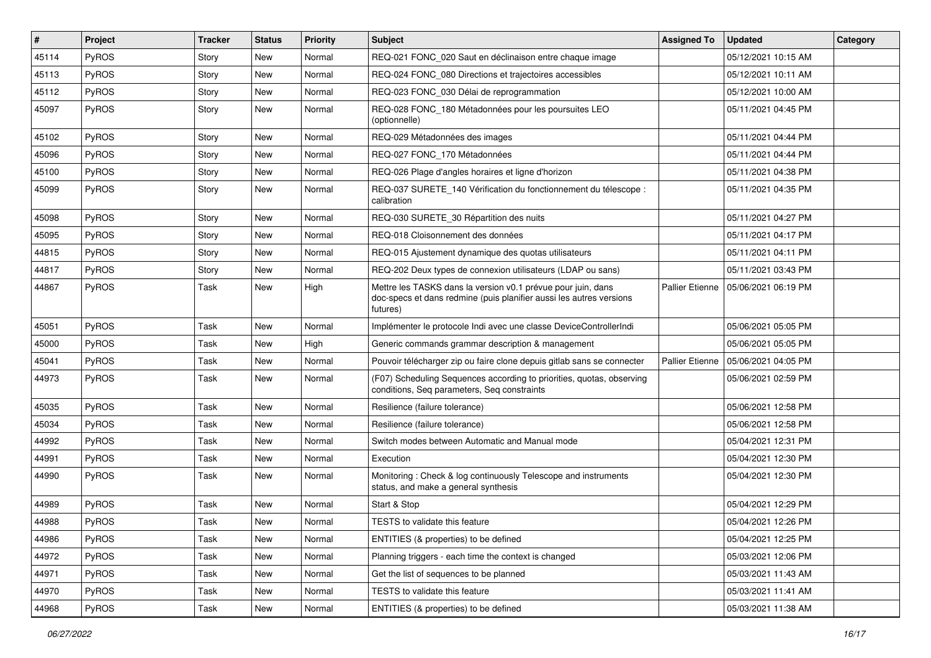| $\vert$ # | Project      | <b>Tracker</b> | <b>Status</b> | <b>Priority</b> | <b>Subject</b>                                                                                                                                  | <b>Assigned To</b>     | <b>Updated</b>      | Category |
|-----------|--------------|----------------|---------------|-----------------|-------------------------------------------------------------------------------------------------------------------------------------------------|------------------------|---------------------|----------|
| 45114     | <b>PyROS</b> | Story          | New           | Normal          | REQ-021 FONC_020 Saut en déclinaison entre chaque image                                                                                         |                        | 05/12/2021 10:15 AM |          |
| 45113     | PyROS        | Story          | New           | Normal          | REQ-024 FONC_080 Directions et trajectoires accessibles                                                                                         |                        | 05/12/2021 10:11 AM |          |
| 45112     | <b>PyROS</b> | Story          | New           | Normal          | REQ-023 FONC_030 Délai de reprogrammation                                                                                                       |                        | 05/12/2021 10:00 AM |          |
| 45097     | PyROS        | Story          | New           | Normal          | REQ-028 FONC_180 Métadonnées pour les poursuites LEO<br>(optionnelle)                                                                           |                        | 05/11/2021 04:45 PM |          |
| 45102     | PyROS        | Story          | New           | Normal          | REQ-029 Métadonnées des images                                                                                                                  |                        | 05/11/2021 04:44 PM |          |
| 45096     | <b>PyROS</b> | Story          | New           | Normal          | REQ-027 FONC_170 Métadonnées                                                                                                                    |                        | 05/11/2021 04:44 PM |          |
| 45100     | PyROS        | Story          | New           | Normal          | REQ-026 Plage d'angles horaires et ligne d'horizon                                                                                              |                        | 05/11/2021 04:38 PM |          |
| 45099     | PyROS        | Story          | New           | Normal          | REQ-037 SURETE_140 Vérification du fonctionnement du télescope :<br>calibration                                                                 |                        | 05/11/2021 04:35 PM |          |
| 45098     | <b>PyROS</b> | Story          | New           | Normal          | REQ-030 SURETE_30 Répartition des nuits                                                                                                         |                        | 05/11/2021 04:27 PM |          |
| 45095     | PyROS        | Story          | New           | Normal          | REQ-018 Cloisonnement des données                                                                                                               |                        | 05/11/2021 04:17 PM |          |
| 44815     | PyROS        | Story          | New           | Normal          | REQ-015 Ajustement dynamique des quotas utilisateurs                                                                                            |                        | 05/11/2021 04:11 PM |          |
| 44817     | PyROS        | Story          | New           | Normal          | REQ-202 Deux types de connexion utilisateurs (LDAP ou sans)                                                                                     |                        | 05/11/2021 03:43 PM |          |
| 44867     | PyROS        | Task           | New           | High            | Mettre les TASKS dans la version v0.1 prévue pour juin, dans<br>doc-specs et dans redmine (puis planifier aussi les autres versions<br>futures) | <b>Pallier Etienne</b> | 05/06/2021 06:19 PM |          |
| 45051     | PyROS        | Task           | New           | Normal          | Implémenter le protocole Indi avec une classe DeviceControllerIndi                                                                              |                        | 05/06/2021 05:05 PM |          |
| 45000     | PyROS        | Task           | New           | High            | Generic commands grammar description & management                                                                                               |                        | 05/06/2021 05:05 PM |          |
| 45041     | PyROS        | Task           | New           | Normal          | Pouvoir télécharger zip ou faire clone depuis gitlab sans se connecter                                                                          | <b>Pallier Etienne</b> | 05/06/2021 04:05 PM |          |
| 44973     | PyROS        | Task           | New           | Normal          | (F07) Scheduling Sequences according to priorities, quotas, observing<br>conditions, Seq parameters, Seq constraints                            |                        | 05/06/2021 02:59 PM |          |
| 45035     | PyROS        | Task           | <b>New</b>    | Normal          | Resilience (failure tolerance)                                                                                                                  |                        | 05/06/2021 12:58 PM |          |
| 45034     | PyROS        | Task           | New           | Normal          | Resilience (failure tolerance)                                                                                                                  |                        | 05/06/2021 12:58 PM |          |
| 44992     | PyROS        | Task           | New           | Normal          | Switch modes between Automatic and Manual mode                                                                                                  |                        | 05/04/2021 12:31 PM |          |
| 44991     | PyROS        | Task           | New           | Normal          | Execution                                                                                                                                       |                        | 05/04/2021 12:30 PM |          |
| 44990     | <b>PyROS</b> | Task           | New           | Normal          | Monitoring: Check & log continuously Telescope and instruments<br>status, and make a general synthesis                                          |                        | 05/04/2021 12:30 PM |          |
| 44989     | PyROS        | Task           | <b>New</b>    | Normal          | Start & Stop                                                                                                                                    |                        | 05/04/2021 12:29 PM |          |
| 44988     | <b>PyROS</b> | Task           | New           | Normal          | TESTS to validate this feature                                                                                                                  |                        | 05/04/2021 12:26 PM |          |
| 44986     | PyROS        | Task           | New           | Normal          | ENTITIES (& properties) to be defined                                                                                                           |                        | 05/04/2021 12:25 PM |          |
| 44972     | PyROS        | Task           | New           | Normal          | Planning triggers - each time the context is changed                                                                                            |                        | 05/03/2021 12:06 PM |          |
| 44971     | <b>PyROS</b> | Task           | New           | Normal          | Get the list of sequences to be planned                                                                                                         |                        | 05/03/2021 11:43 AM |          |
| 44970     | PyROS        | Task           | New           | Normal          | TESTS to validate this feature                                                                                                                  |                        | 05/03/2021 11:41 AM |          |
| 44968     | PyROS        | Task           | New           | Normal          | ENTITIES (& properties) to be defined                                                                                                           |                        | 05/03/2021 11:38 AM |          |